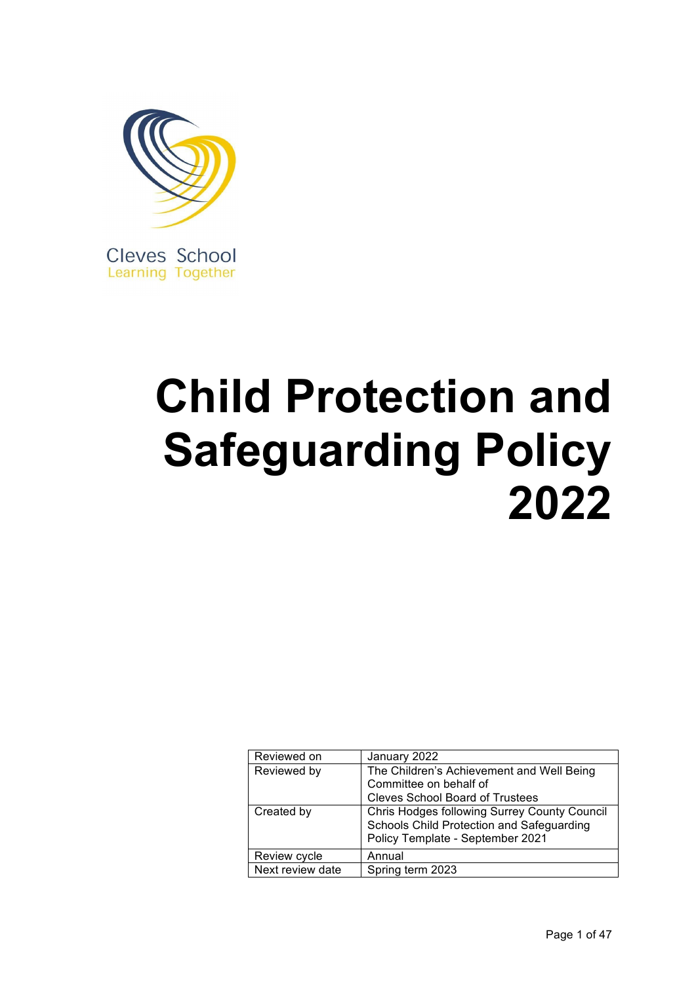

# **Child Protection and Safeguarding Policy 2022**

| Reviewed on      | January 2022                                 |
|------------------|----------------------------------------------|
| Reviewed by      | The Children's Achievement and Well Being    |
|                  | Committee on behalf of                       |
|                  | <b>Cleves School Board of Trustees</b>       |
| Created by       | Chris Hodges following Surrey County Council |
|                  | Schools Child Protection and Safeguarding    |
|                  | Policy Template - September 2021             |
| Review cycle     | Annual                                       |
| Next review date | Spring term 2023                             |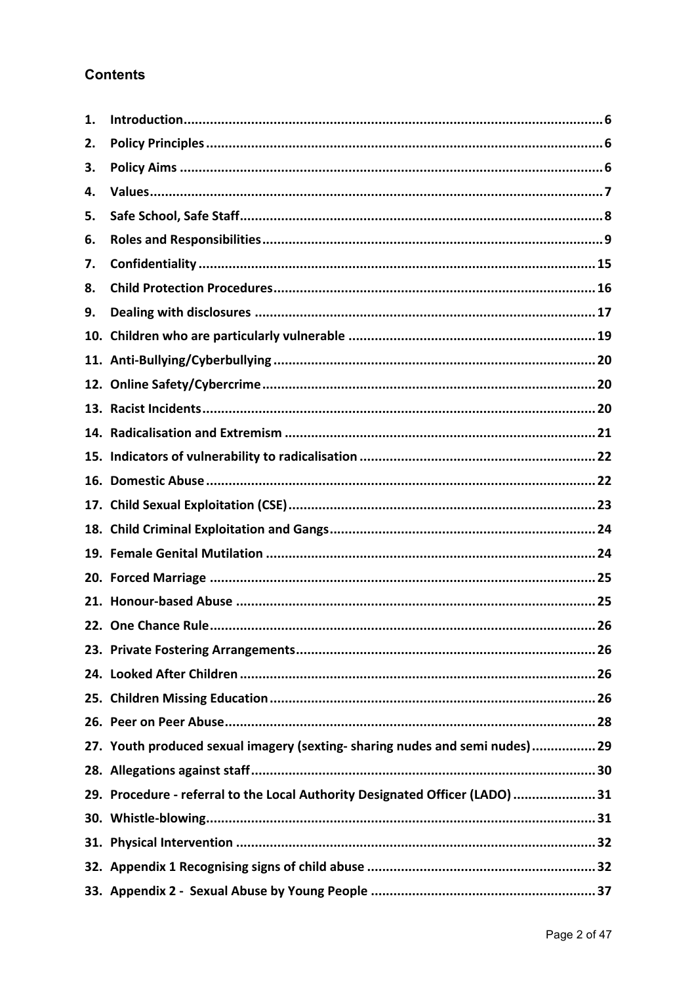# **Contents**

| 1.  |                                                                               |
|-----|-------------------------------------------------------------------------------|
| 2.  |                                                                               |
| 3.  |                                                                               |
| 4.  |                                                                               |
| 5.  |                                                                               |
| 6.  |                                                                               |
| 7.  |                                                                               |
| 8.  |                                                                               |
| 9.  |                                                                               |
| 10. |                                                                               |
|     |                                                                               |
|     |                                                                               |
|     |                                                                               |
|     |                                                                               |
| 15. |                                                                               |
| 16. |                                                                               |
|     |                                                                               |
|     |                                                                               |
|     |                                                                               |
|     |                                                                               |
|     |                                                                               |
|     |                                                                               |
|     |                                                                               |
|     |                                                                               |
|     |                                                                               |
|     |                                                                               |
|     | 27. Youth produced sexual imagery (sexting-sharing nudes and semi nudes) 29   |
|     |                                                                               |
|     | 29. Procedure - referral to the Local Authority Designated Officer (LADO)  31 |
|     |                                                                               |
|     |                                                                               |
|     |                                                                               |
|     |                                                                               |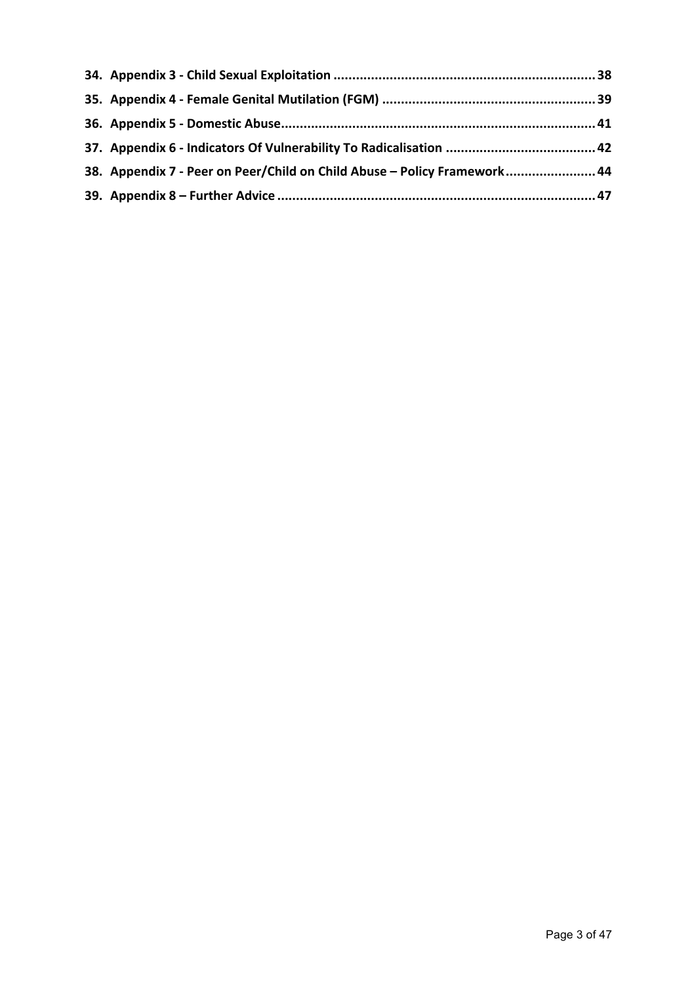| 38. Appendix 7 - Peer on Peer/Child on Child Abuse - Policy Framework 44 |  |
|--------------------------------------------------------------------------|--|
|                                                                          |  |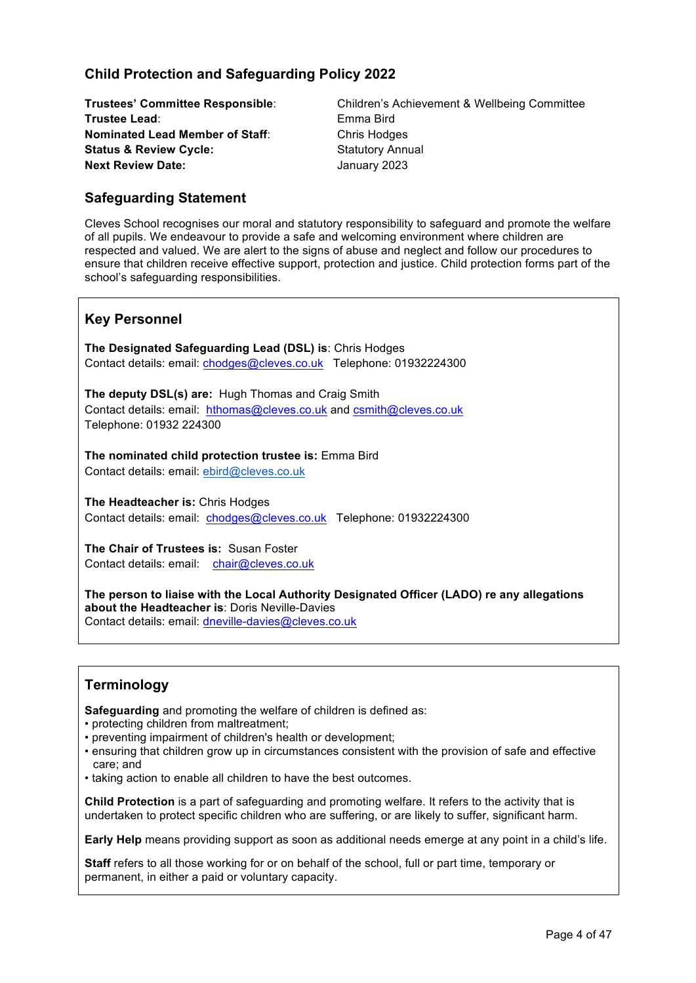# **Child Protection and Safeguarding Policy 2022**

**Trustee Lead:** Emma Bird **Nominated Lead Member of Staff:** Chris Hodges **Status & Review Cycle: Statutory Annual Next Review Date:** January 2023

**Trustees' Committee Responsible**: Children's Achievement & Wellbeing Committee

# **Safeguarding Statement**

Cleves School recognises our moral and statutory responsibility to safeguard and promote the welfare of all pupils. We endeavour to provide a safe and welcoming environment where children are respected and valued. We are alert to the signs of abuse and neglect and follow our procedures to ensure that children receive effective support, protection and justice. Child protection forms part of the school's safeguarding responsibilities.

## **Key Personnel**

**The Designated Safeguarding Lead (DSL) is**: Chris Hodges Contact details: email: chodges@cleves.co.uk Telephone: 01932224300

**The deputy DSL(s) are:** Hugh Thomas and Craig Smith Contact details: email: hthomas@cleves.co.uk and csmith@cleves.co.uk Telephone: 01932 224300

**The nominated child protection trustee is:** Emma Bird Contact details: email: ebird@cleves.co.uk

**The Headteacher is:** Chris Hodges Contact details: email: chodges@cleves.co.uk Telephone: 01932224300

**The Chair of Trustees is:** Susan Foster Contact details: email: chair@cleves.co.uk

**The person to liaise with the Local Authority Designated Officer (LADO) re any allegations about the Headteacher is**: Doris Neville-Davies Contact details: email: dneville-davies@cleves.co.uk

# **Terminology**

**Safeguarding** and promoting the welfare of children is defined as:

- protecting children from maltreatment;
- preventing impairment of children's health or development;
- ensuring that children grow up in circumstances consistent with the provision of safe and effective care; and
- taking action to enable all children to have the best outcomes.

**Child Protection** is a part of safeguarding and promoting welfare. It refers to the activity that is undertaken to protect specific children who are suffering, or are likely to suffer, significant harm.

**Early Help** means providing support as soon as additional needs emerge at any point in a child's life.

**Staff** refers to all those working for or on behalf of the school, full or part time, temporary or permanent, in either a paid or voluntary capacity.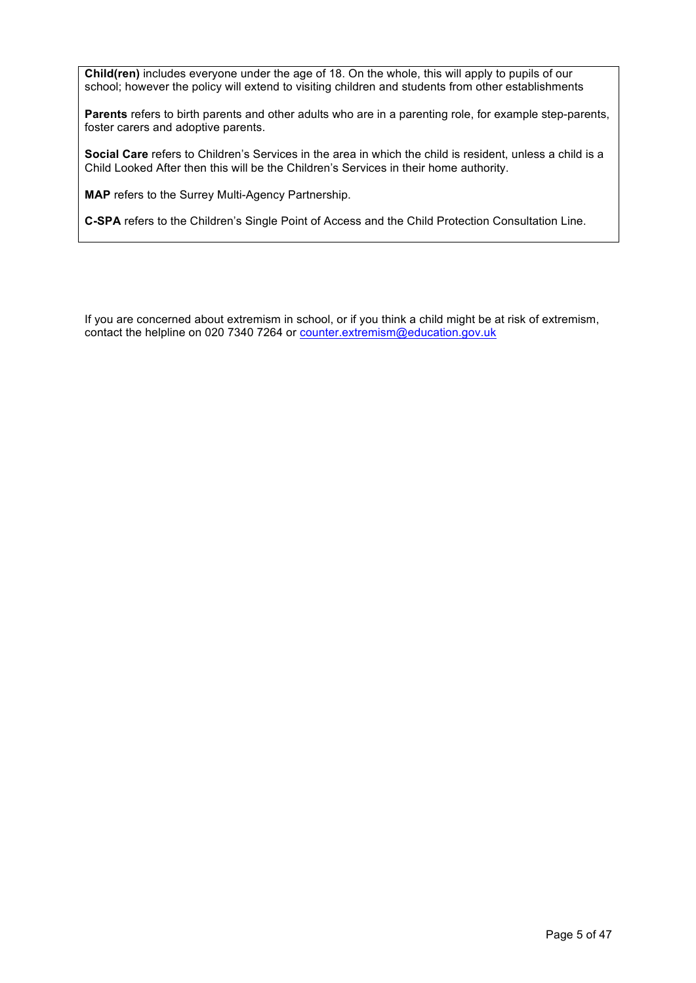**Child(ren)** includes everyone under the age of 18. On the whole, this will apply to pupils of our school; however the policy will extend to visiting children and students from other establishments

**Parents** refers to birth parents and other adults who are in a parenting role, for example step-parents, foster carers and adoptive parents.

**Social Care** refers to Children's Services in the area in which the child is resident, unless a child is a Child Looked After then this will be the Children's Services in their home authority.

**MAP** refers to the Surrey Multi-Agency Partnership.

**C-SPA** refers to the Children's Single Point of Access and the Child Protection Consultation Line.

If you are concerned about extremism in school, or if you think a child might be at risk of extremism, contact the helpline on 020 7340 7264 or counter.extremism@education.gov.uk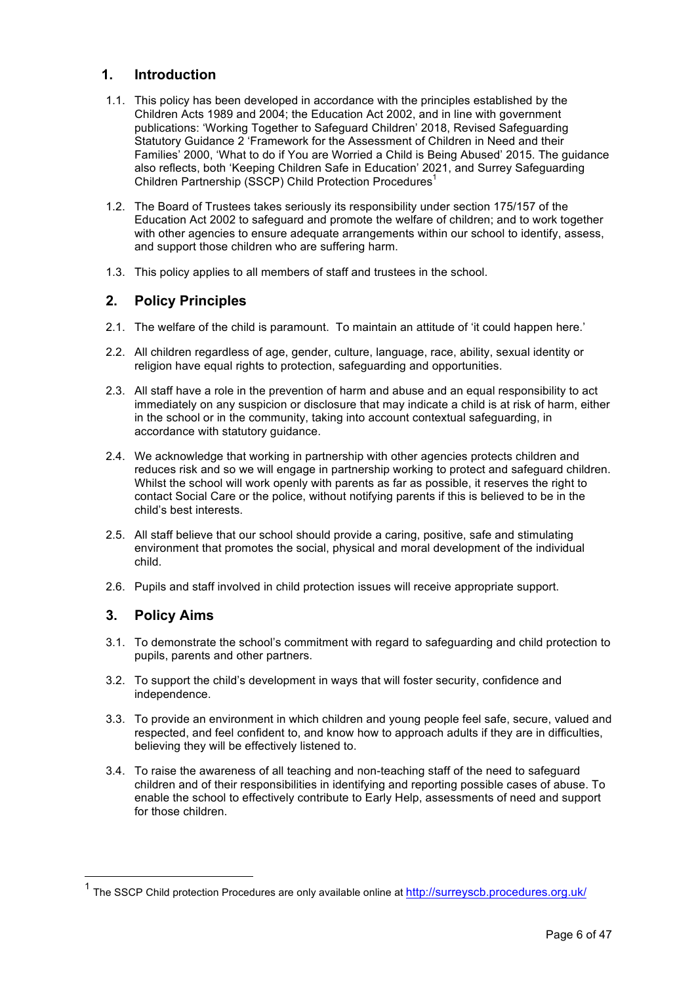## **1. Introduction**

- 1.1. This policy has been developed in accordance with the principles established by the Children Acts 1989 and 2004; the Education Act 2002, and in line with government publications: 'Working Together to Safeguard Children' 2018, Revised Safeguarding Statutory Guidance 2 'Framework for the Assessment of Children in Need and their Families' 2000, 'What to do if You are Worried a Child is Being Abused' 2015. The guidance also reflects, both 'Keeping Children Safe in Education' 2021, and Surrey Safeguarding Children Partnership (SSCP) Child Protection Procedures<sup>1</sup>
- 1.2. The Board of Trustees takes seriously its responsibility under section 175/157 of the Education Act 2002 to safeguard and promote the welfare of children; and to work together with other agencies to ensure adequate arrangements within our school to identify, assess, and support those children who are suffering harm.
- 1.3. This policy applies to all members of staff and trustees in the school.

# **2. Policy Principles**

- 2.1. The welfare of the child is paramount. To maintain an attitude of 'it could happen here.'
- 2.2. All children regardless of age, gender, culture, language, race, ability, sexual identity or religion have equal rights to protection, safeguarding and opportunities.
- 2.3. All staff have a role in the prevention of harm and abuse and an equal responsibility to act immediately on any suspicion or disclosure that may indicate a child is at risk of harm, either in the school or in the community, taking into account contextual safeguarding, in accordance with statutory guidance.
- 2.4. We acknowledge that working in partnership with other agencies protects children and reduces risk and so we will engage in partnership working to protect and safeguard children. Whilst the school will work openly with parents as far as possible, it reserves the right to contact Social Care or the police, without notifying parents if this is believed to be in the child's best interests.
- 2.5. All staff believe that our school should provide a caring, positive, safe and stimulating environment that promotes the social, physical and moral development of the individual child.
- 2.6. Pupils and staff involved in child protection issues will receive appropriate support.

# **3. Policy Aims**

- 3.1. To demonstrate the school's commitment with regard to safeguarding and child protection to pupils, parents and other partners.
- 3.2. To support the child's development in ways that will foster security, confidence and independence.
- 3.3. To provide an environment in which children and young people feel safe, secure, valued and respected, and feel confident to, and know how to approach adults if they are in difficulties, believing they will be effectively listened to.
- 3.4. To raise the awareness of all teaching and non-teaching staff of the need to safeguard children and of their responsibilities in identifying and reporting possible cases of abuse. To enable the school to effectively contribute to Early Help, assessments of need and support for those children.

<sup>&</sup>lt;sup>1</sup> The SSCP Child protection Procedures are only available online at http://surreyscb.procedures.org.uk/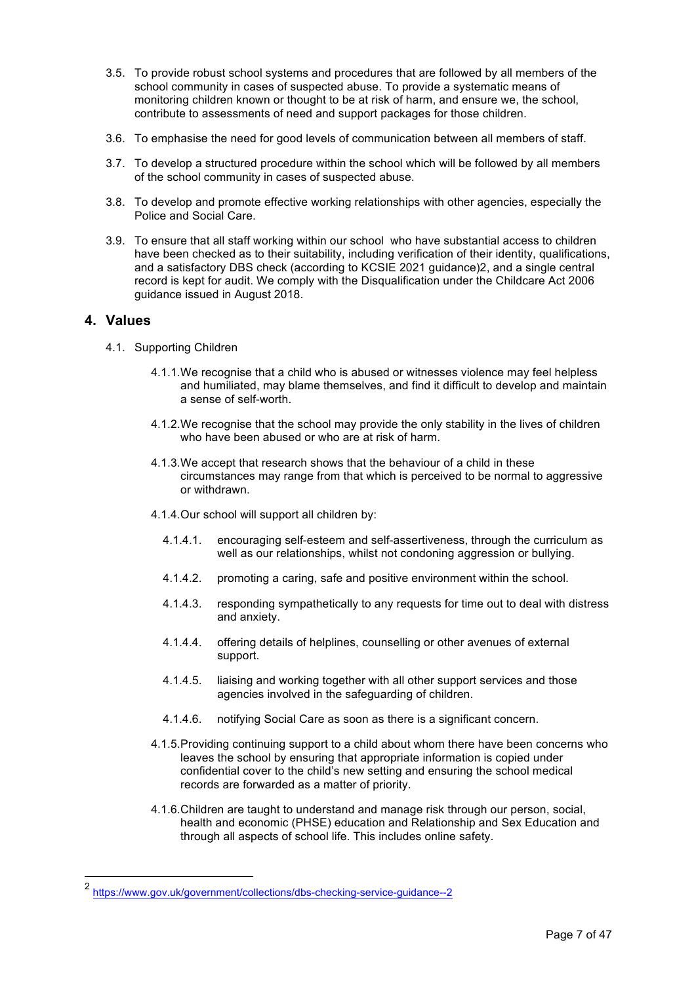- 3.5. To provide robust school systems and procedures that are followed by all members of the school community in cases of suspected abuse. To provide a systematic means of monitoring children known or thought to be at risk of harm, and ensure we, the school, contribute to assessments of need and support packages for those children.
- 3.6. To emphasise the need for good levels of communication between all members of staff.
- 3.7. To develop a structured procedure within the school which will be followed by all members of the school community in cases of suspected abuse.
- 3.8. To develop and promote effective working relationships with other agencies, especially the Police and Social Care.
- 3.9. To ensure that all staff working within our school who have substantial access to children have been checked as to their suitability, including verification of their identity, qualifications, and a satisfactory DBS check (according to KCSIE 2021 guidance)2, and a single central record is kept for audit. We comply with the Disqualification under the Childcare Act 2006 guidance issued in August 2018.

## **4. Values**

- 4.1. Supporting Children
	- 4.1.1.We recognise that a child who is abused or witnesses violence may feel helpless and humiliated, may blame themselves, and find it difficult to develop and maintain a sense of self-worth.
	- 4.1.2.We recognise that the school may provide the only stability in the lives of children who have been abused or who are at risk of harm.
	- 4.1.3.We accept that research shows that the behaviour of a child in these circumstances may range from that which is perceived to be normal to aggressive or withdrawn.
	- 4.1.4.Our school will support all children by:
		- 4.1.4.1. encouraging self-esteem and self-assertiveness, through the curriculum as well as our relationships, whilst not condoning aggression or bullying.
		- 4.1.4.2. promoting a caring, safe and positive environment within the school.
		- 4.1.4.3. responding sympathetically to any requests for time out to deal with distress and anxiety.
		- 4.1.4.4. offering details of helplines, counselling or other avenues of external support.
		- 4.1.4.5. liaising and working together with all other support services and those agencies involved in the safeguarding of children.
		- 4.1.4.6. notifying Social Care as soon as there is a significant concern.
	- 4.1.5.Providing continuing support to a child about whom there have been concerns who leaves the school by ensuring that appropriate information is copied under confidential cover to the child's new setting and ensuring the school medical records are forwarded as a matter of priority.
	- 4.1.6.Children are taught to understand and manage risk through our person, social, health and economic (PHSE) education and Relationship and Sex Education and through all aspects of school life. This includes online safety.

 <sup>2</sup> https://www.gov.uk/government/collections/dbs-checking-service-guidance--2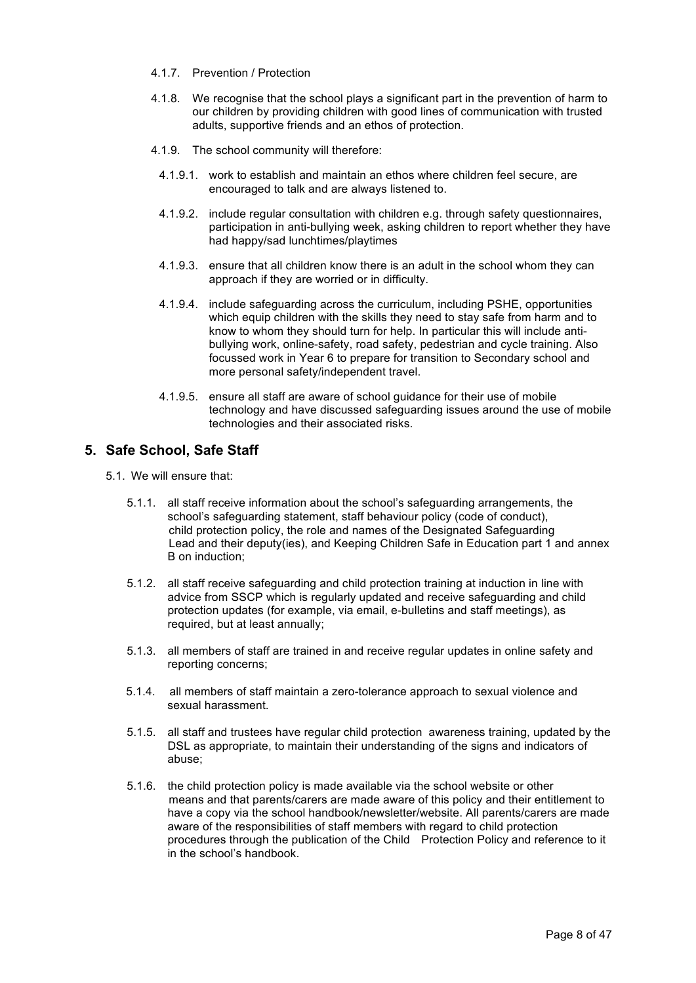- 4.1.7. Prevention / Protection
- 4.1.8. We recognise that the school plays a significant part in the prevention of harm to our children by providing children with good lines of communication with trusted adults, supportive friends and an ethos of protection.
- 4.1.9. The school community will therefore:
	- 4.1.9.1. work to establish and maintain an ethos where children feel secure, are encouraged to talk and are always listened to.
	- 4.1.9.2. include regular consultation with children e.g. through safety questionnaires, participation in anti-bullying week, asking children to report whether they have had happy/sad lunchtimes/playtimes
	- 4.1.9.3. ensure that all children know there is an adult in the school whom they can approach if they are worried or in difficulty.
	- 4.1.9.4. include safeguarding across the curriculum, including PSHE, opportunities which equip children with the skills they need to stay safe from harm and to know to whom they should turn for help. In particular this will include antibullying work, online-safety, road safety, pedestrian and cycle training. Also focussed work in Year 6 to prepare for transition to Secondary school and more personal safety/independent travel.
	- 4.1.9.5. ensure all staff are aware of school guidance for their use of mobile technology and have discussed safeguarding issues around the use of mobile technologies and their associated risks.

# **5. Safe School, Safe Staff**

- 5.1. We will ensure that:
	- 5.1.1. all staff receive information about the school's safeguarding arrangements, the school's safeguarding statement, staff behaviour policy (code of conduct), child protection policy, the role and names of the Designated Safeguarding Lead and their deputy(ies), and Keeping Children Safe in Education part 1 and annex B on induction;
	- 5.1.2. all staff receive safeguarding and child protection training at induction in line with advice from SSCP which is regularly updated and receive safeguarding and child protection updates (for example, via email, e-bulletins and staff meetings), as required, but at least annually;
	- 5.1.3. all members of staff are trained in and receive regular updates in online safety and reporting concerns;
	- 5.1.4. all members of staff maintain a zero-tolerance approach to sexual violence and sexual harassment.
	- 5.1.5. all staff and trustees have regular child protection awareness training, updated by the DSL as appropriate, to maintain their understanding of the signs and indicators of abuse;
	- 5.1.6. the child protection policy is made available via the school website or other means and that parents/carers are made aware of this policy and their entitlement to have a copy via the school handbook/newsletter/website. All parents/carers are made aware of the responsibilities of staff members with regard to child protection procedures through the publication of the Child Protection Policy and reference to it in the school's handbook.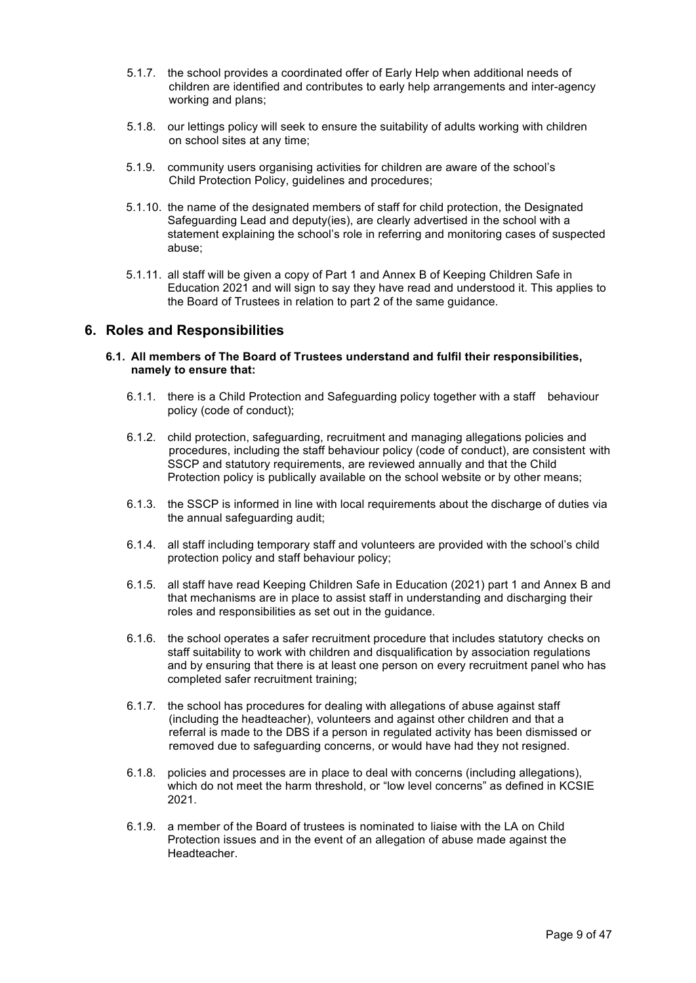- 5.1.7. the school provides a coordinated offer of Early Help when additional needs of children are identified and contributes to early help arrangements and inter-agency working and plans;
- 5.1.8. our lettings policy will seek to ensure the suitability of adults working with children on school sites at any time;
- 5.1.9. community users organising activities for children are aware of the school's Child Protection Policy, guidelines and procedures;
- 5.1.10. the name of the designated members of staff for child protection, the Designated Safeguarding Lead and deputy(ies), are clearly advertised in the school with a statement explaining the school's role in referring and monitoring cases of suspected abuse;
- 5.1.11. all staff will be given a copy of Part 1 and Annex B of Keeping Children Safe in Education 2021 and will sign to say they have read and understood it. This applies to the Board of Trustees in relation to part 2 of the same guidance.

## **6. Roles and Responsibilities**

#### **6.1. All members of The Board of Trustees understand and fulfil their responsibilities, namely to ensure that:**

- 6.1.1. there is a Child Protection and Safeguarding policy together with a staff behaviour policy (code of conduct);
- 6.1.2. child protection, safeguarding, recruitment and managing allegations policies and procedures, including the staff behaviour policy (code of conduct), are consistent with SSCP and statutory requirements, are reviewed annually and that the Child Protection policy is publically available on the school website or by other means;
- 6.1.3. the SSCP is informed in line with local requirements about the discharge of duties via the annual safeguarding audit;
- 6.1.4. all staff including temporary staff and volunteers are provided with the school's child protection policy and staff behaviour policy;
- 6.1.5. all staff have read Keeping Children Safe in Education (2021) part 1 and Annex B and that mechanisms are in place to assist staff in understanding and discharging their roles and responsibilities as set out in the guidance.
- 6.1.6. the school operates a safer recruitment procedure that includes statutory checks on staff suitability to work with children and disqualification by association regulations and by ensuring that there is at least one person on every recruitment panel who has completed safer recruitment training;
- 6.1.7. the school has procedures for dealing with allegations of abuse against staff (including the headteacher), volunteers and against other children and that a referral is made to the DBS if a person in regulated activity has been dismissed or removed due to safeguarding concerns, or would have had they not resigned.
- 6.1.8. policies and processes are in place to deal with concerns (including allegations), which do not meet the harm threshold, or "low level concerns" as defined in KCSIE 2021.
- 6.1.9. a member of the Board of trustees is nominated to liaise with the LA on Child Protection issues and in the event of an allegation of abuse made against the Headteacher.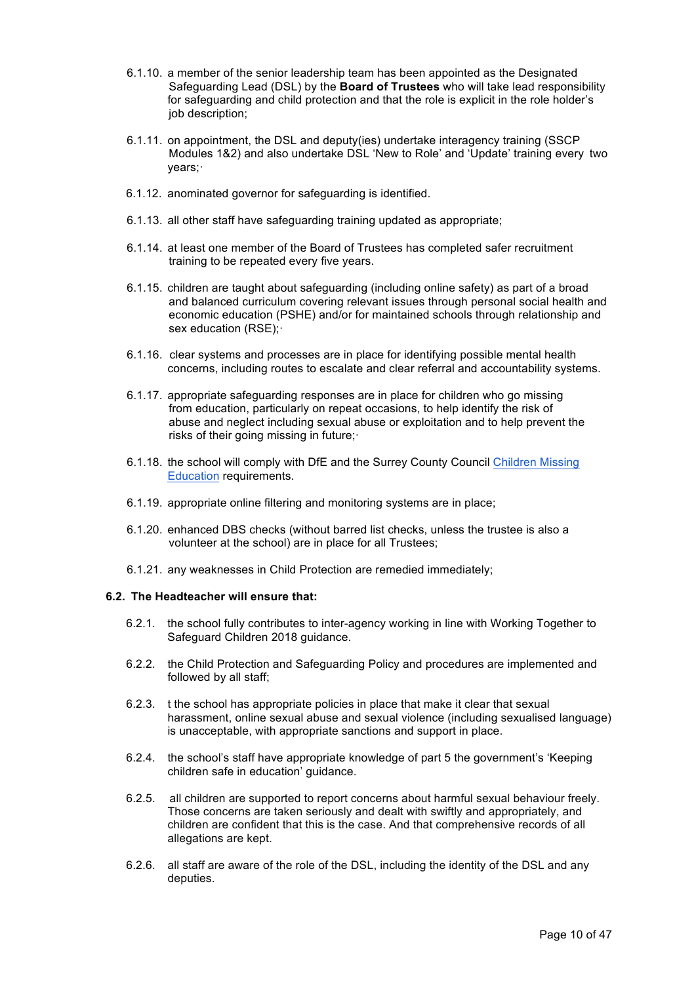- 6.1.10. a member of the senior leadership team has been appointed as the Designated Safeguarding Lead (DSL) by the **Board of Trustees** who will take lead responsibility for safeguarding and child protection and that the role is explicit in the role holder's job description;
- 6.1.11. on appointment, the DSL and deputy(ies) undertake interagency training (SSCP Modules 1&2) and also undertake DSL 'New to Role' and 'Update' training every two years;·
- 6.1.12. anominated governor for safeguarding is identified.
- 6.1.13. all other staff have safeguarding training updated as appropriate;
- 6.1.14. at least one member of the Board of Trustees has completed safer recruitment training to be repeated every five years.
- 6.1.15. children are taught about safeguarding (including online safety) as part of a broad and balanced curriculum covering relevant issues through personal social health and economic education (PSHE) and/or for maintained schools through relationship and sex education (RSE);·
- 6.1.16. clear systems and processes are in place for identifying possible mental health concerns, including routes to escalate and clear referral and accountability systems.
- 6.1.17. appropriate safeguarding responses are in place for children who go missing from education, particularly on repeat occasions, to help identify the risk of abuse and neglect including sexual abuse or exploitation and to help prevent the risks of their going missing in future;·
- 6.1.18. the school will comply with DfE and the Surrey County Council Children Missing Education requirements.
- 6.1.19. appropriate online filtering and monitoring systems are in place;
- 6.1.20. enhanced DBS checks (without barred list checks, unless the trustee is also a volunteer at the school) are in place for all Trustees;
- 6.1.21. any weaknesses in Child Protection are remedied immediately;

#### **6.2. The Headteacher will ensure that:**

- 6.2.1. the school fully contributes to inter-agency working in line with Working Together to Safeguard Children 2018 guidance.
- 6.2.2. the Child Protection and Safeguarding Policy and procedures are implemented and followed by all staff;
- 6.2.3. t the school has appropriate policies in place that make it clear that sexual harassment, online sexual abuse and sexual violence (including sexualised language) is unacceptable, with appropriate sanctions and support in place.
- 6.2.4. the school's staff have appropriate knowledge of part 5 the government's 'Keeping children safe in education' guidance.
- 6.2.5. all children are supported to report concerns about harmful sexual behaviour freely. Those concerns are taken seriously and dealt with swiftly and appropriately, and children are confident that this is the case. And that comprehensive records of all allegations are kept.
- 6.2.6. all staff are aware of the role of the DSL, including the identity of the DSL and any deputies.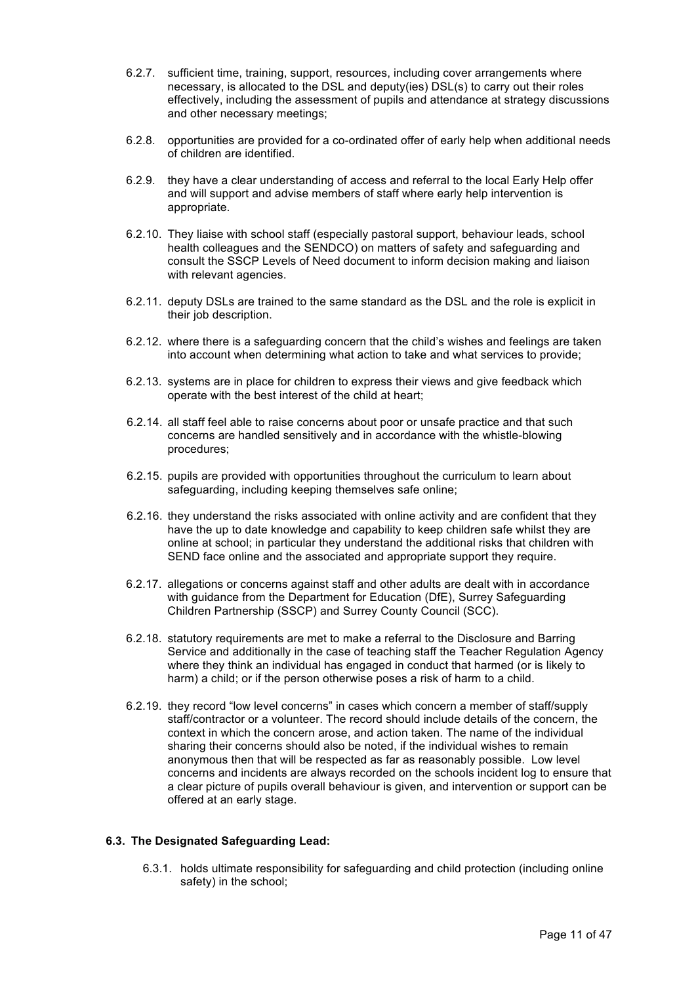- 6.2.7. sufficient time, training, support, resources, including cover arrangements where necessary, is allocated to the DSL and deputy(ies) DSL(s) to carry out their roles effectively, including the assessment of pupils and attendance at strategy discussions and other necessary meetings;
- 6.2.8. opportunities are provided for a co-ordinated offer of early help when additional needs of children are identified.
- 6.2.9. they have a clear understanding of access and referral to the local Early Help offer and will support and advise members of staff where early help intervention is appropriate.
- 6.2.10. They liaise with school staff (especially pastoral support, behaviour leads, school health colleagues and the SENDCO) on matters of safety and safeguarding and consult the SSCP Levels of Need document to inform decision making and liaison with relevant agencies.
- 6.2.11. deputy DSLs are trained to the same standard as the DSL and the role is explicit in their job description.
- 6.2.12. where there is a safeguarding concern that the child's wishes and feelings are taken into account when determining what action to take and what services to provide;
- 6.2.13. systems are in place for children to express their views and give feedback which operate with the best interest of the child at heart;
- 6.2.14. all staff feel able to raise concerns about poor or unsafe practice and that such concerns are handled sensitively and in accordance with the whistle-blowing procedures;
- 6.2.15. pupils are provided with opportunities throughout the curriculum to learn about safeguarding, including keeping themselves safe online;
- 6.2.16. they understand the risks associated with online activity and are confident that they have the up to date knowledge and capability to keep children safe whilst they are online at school; in particular they understand the additional risks that children with SEND face online and the associated and appropriate support they require.
- 6.2.17. allegations or concerns against staff and other adults are dealt with in accordance with guidance from the Department for Education (DfE), Surrey Safeguarding Children Partnership (SSCP) and Surrey County Council (SCC).
- 6.2.18. statutory requirements are met to make a referral to the Disclosure and Barring Service and additionally in the case of teaching staff the Teacher Regulation Agency where they think an individual has engaged in conduct that harmed (or is likely to harm) a child; or if the person otherwise poses a risk of harm to a child.
- 6.2.19. they record "low level concerns" in cases which concern a member of staff/supply staff/contractor or a volunteer. The record should include details of the concern, the context in which the concern arose, and action taken. The name of the individual sharing their concerns should also be noted, if the individual wishes to remain anonymous then that will be respected as far as reasonably possible. Low level concerns and incidents are always recorded on the schools incident log to ensure that a clear picture of pupils overall behaviour is given, and intervention or support can be offered at an early stage.

#### **6.3. The Designated Safeguarding Lead:**

6.3.1. holds ultimate responsibility for safeguarding and child protection (including online safety) in the school;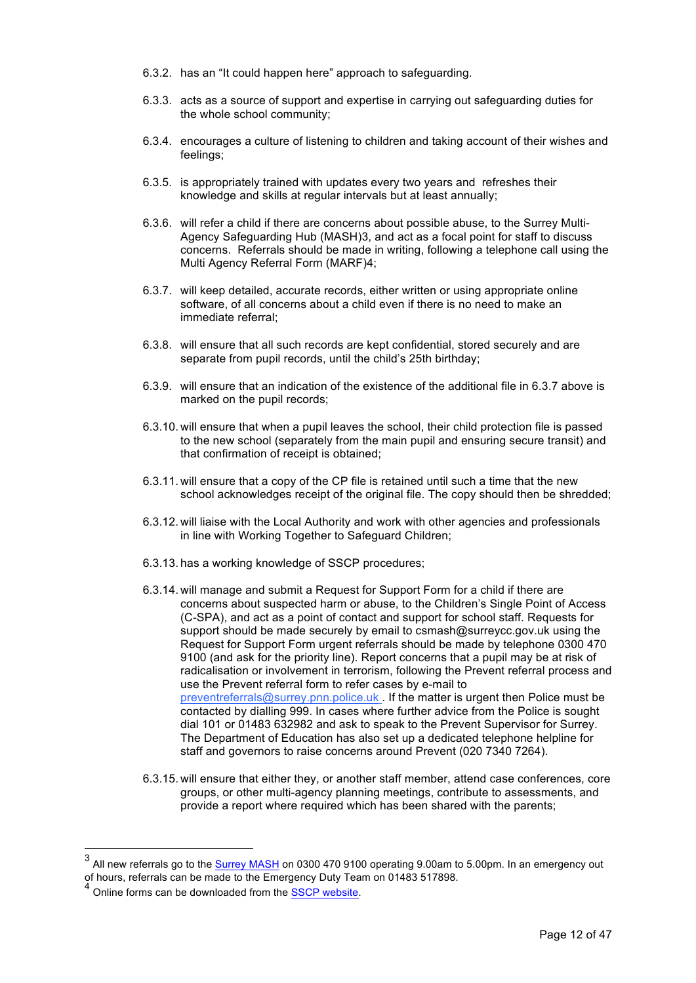- 6.3.2. has an "It could happen here" approach to safeguarding.
- 6.3.3. acts as a source of support and expertise in carrying out safeguarding duties for the whole school community;
- 6.3.4. encourages a culture of listening to children and taking account of their wishes and feelings;
- 6.3.5. is appropriately trained with updates every two years and refreshes their knowledge and skills at regular intervals but at least annually;
- 6.3.6. will refer a child if there are concerns about possible abuse, to the Surrey Multi-Agency Safeguarding Hub (MASH)3, and act as a focal point for staff to discuss concerns. Referrals should be made in writing, following a telephone call using the Multi Agency Referral Form (MARF)4;
- 6.3.7. will keep detailed, accurate records, either written or using appropriate online software, of all concerns about a child even if there is no need to make an immediate referral;
- 6.3.8. will ensure that all such records are kept confidential, stored securely and are separate from pupil records, until the child's 25th birthday;
- 6.3.9. will ensure that an indication of the existence of the additional file in 6.3.7 above is marked on the pupil records;
- 6.3.10. will ensure that when a pupil leaves the school, their child protection file is passed to the new school (separately from the main pupil and ensuring secure transit) and that confirmation of receipt is obtained;
- 6.3.11. will ensure that a copy of the CP file is retained until such a time that the new school acknowledges receipt of the original file. The copy should then be shredded;
- 6.3.12. will liaise with the Local Authority and work with other agencies and professionals in line with Working Together to Safeguard Children;
- 6.3.13. has a working knowledge of SSCP procedures;
- 6.3.14. will manage and submit a Request for Support Form for a child if there are concerns about suspected harm or abuse, to the Children's Single Point of Access (C-SPA), and act as a point of contact and support for school staff. Requests for support should be made securely by email to csmash@surreycc.gov.uk using the Request for Support Form urgent referrals should be made by telephone 0300 470 9100 (and ask for the priority line). Report concerns that a pupil may be at risk of radicalisation or involvement in terrorism, following the Prevent referral process and use the Prevent referral form to refer cases by e-mail to preventreferrals@surrey.pnn.police.uk . If the matter is urgent then Police must be contacted by dialling 999. In cases where further advice from the Police is sought dial 101 or 01483 632982 and ask to speak to the Prevent Supervisor for Surrey. The Department of Education has also set up a dedicated telephone helpline for staff and governors to raise concerns around Prevent (020 7340 7264).
- 6.3.15. will ensure that either they, or another staff member, attend case conferences, core groups, or other multi-agency planning meetings, contribute to assessments, and provide a report where required which has been shared with the parents;

 <sup>3</sup> All new referrals go to the Surrey MASH on 0300 470 9100 operating 9.00am to 5.00pm. In an emergency out of hours, referrals can be made to the Emergency Duty Team on 01483 517898.

<sup>&</sup>lt;sup>4</sup> Online forms can be downloaded from the SSCP website.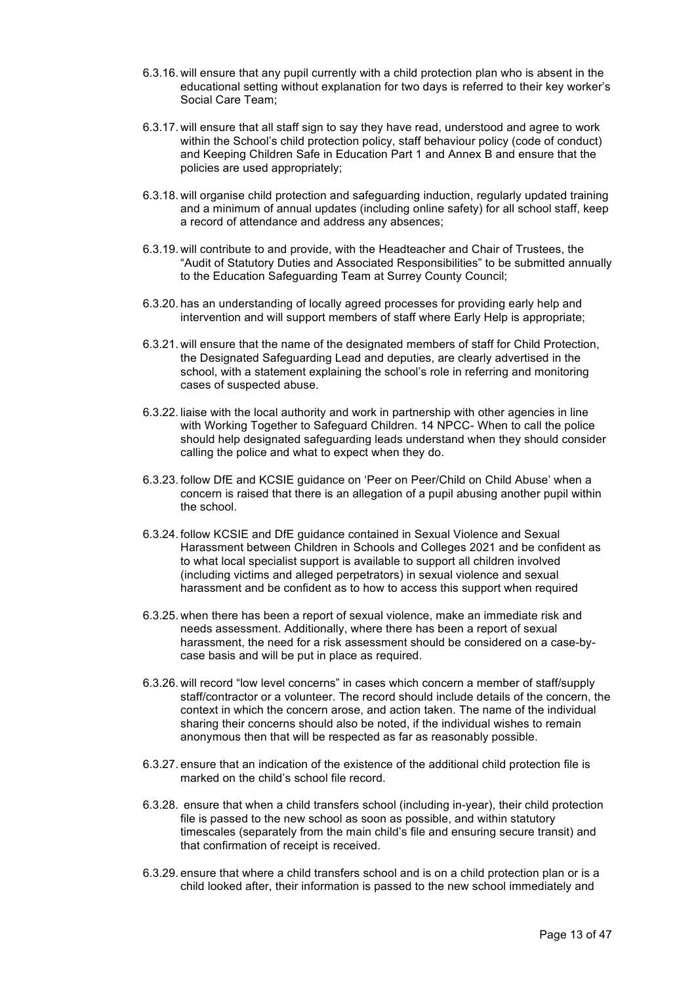- 6.3.16. will ensure that any pupil currently with a child protection plan who is absent in the educational setting without explanation for two days is referred to their key worker's Social Care Team;
- 6.3.17. will ensure that all staff sign to say they have read, understood and agree to work within the School's child protection policy, staff behaviour policy (code of conduct) and Keeping Children Safe in Education Part 1 and Annex B and ensure that the policies are used appropriately;
- 6.3.18. will organise child protection and safeguarding induction, regularly updated training and a minimum of annual updates (including online safety) for all school staff, keep a record of attendance and address any absences;
- 6.3.19. will contribute to and provide, with the Headteacher and Chair of Trustees, the "Audit of Statutory Duties and Associated Responsibilities" to be submitted annually to the Education Safeguarding Team at Surrey County Council;
- 6.3.20. has an understanding of locally agreed processes for providing early help and intervention and will support members of staff where Early Help is appropriate;
- 6.3.21. will ensure that the name of the designated members of staff for Child Protection, the Designated Safeguarding Lead and deputies, are clearly advertised in the school, with a statement explaining the school's role in referring and monitoring cases of suspected abuse.
- 6.3.22. liaise with the local authority and work in partnership with other agencies in line with Working Together to Safeguard Children. 14 NPCC- When to call the police should help designated safeguarding leads understand when they should consider calling the police and what to expect when they do.
- 6.3.23. follow DfE and KCSIE guidance on 'Peer on Peer/Child on Child Abuse' when a concern is raised that there is an allegation of a pupil abusing another pupil within the school.
- 6.3.24. follow KCSIE and DfE guidance contained in Sexual Violence and Sexual Harassment between Children in Schools and Colleges 2021 and be confident as to what local specialist support is available to support all children involved (including victims and alleged perpetrators) in sexual violence and sexual harassment and be confident as to how to access this support when required
- 6.3.25. when there has been a report of sexual violence, make an immediate risk and needs assessment. Additionally, where there has been a report of sexual harassment, the need for a risk assessment should be considered on a case-bycase basis and will be put in place as required.
- 6.3.26. will record "low level concerns" in cases which concern a member of staff/supply staff/contractor or a volunteer. The record should include details of the concern, the context in which the concern arose, and action taken. The name of the individual sharing their concerns should also be noted, if the individual wishes to remain anonymous then that will be respected as far as reasonably possible.
- 6.3.27. ensure that an indication of the existence of the additional child protection file is marked on the child's school file record.
- 6.3.28. ensure that when a child transfers school (including in-year), their child protection file is passed to the new school as soon as possible, and within statutory timescales (separately from the main child's file and ensuring secure transit) and that confirmation of receipt is received.
- 6.3.29. ensure that where a child transfers school and is on a child protection plan or is a child looked after, their information is passed to the new school immediately and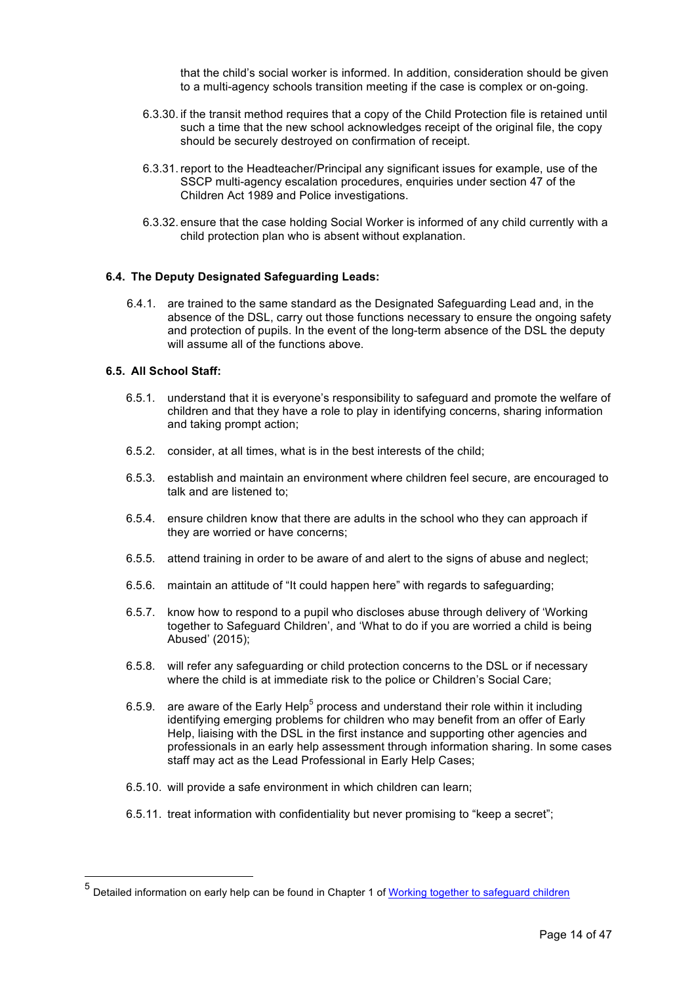that the child's social worker is informed. In addition, consideration should be given to a multi-agency schools transition meeting if the case is complex or on-going.

- 6.3.30. if the transit method requires that a copy of the Child Protection file is retained until such a time that the new school acknowledges receipt of the original file, the copy should be securely destroyed on confirmation of receipt.
- 6.3.31. report to the Headteacher/Principal any significant issues for example, use of the SSCP multi-agency escalation procedures, enquiries under section 47 of the Children Act 1989 and Police investigations.
- 6.3.32. ensure that the case holding Social Worker is informed of any child currently with a child protection plan who is absent without explanation.

#### **6.4. The Deputy Designated Safeguarding Leads:**

6.4.1. are trained to the same standard as the Designated Safeguarding Lead and, in the absence of the DSL, carry out those functions necessary to ensure the ongoing safety and protection of pupils. In the event of the long-term absence of the DSL the deputy will assume all of the functions above.

#### **6.5. All School Staff:**

- 6.5.1. understand that it is everyone's responsibility to safeguard and promote the welfare of children and that they have a role to play in identifying concerns, sharing information and taking prompt action;
- 6.5.2. consider, at all times, what is in the best interests of the child;
- 6.5.3. establish and maintain an environment where children feel secure, are encouraged to talk and are listened to;
- 6.5.4. ensure children know that there are adults in the school who they can approach if they are worried or have concerns;
- 6.5.5. attend training in order to be aware of and alert to the signs of abuse and neglect;
- 6.5.6. maintain an attitude of "It could happen here" with regards to safeguarding;
- 6.5.7. know how to respond to a pupil who discloses abuse through delivery of 'Working together to Safeguard Children', and 'What to do if you are worried a child is being Abused' (2015);
- 6.5.8. will refer any safeguarding or child protection concerns to the DSL or if necessary where the child is at immediate risk to the police or Children's Social Care;
- 6.5.9. are aware of the Early Help<sup>5</sup> process and understand their role within it including identifying emerging problems for children who may benefit from an offer of Early Help, liaising with the DSL in the first instance and supporting other agencies and professionals in an early help assessment through information sharing. In some cases staff may act as the Lead Professional in Early Help Cases;
- 6.5.10. will provide a safe environment in which children can learn;
- 6.5.11. treat information with confidentiality but never promising to "keep a secret";

<sup>&</sup>lt;sup>5</sup> Detailed information on early help can be found in Chapter 1 of Working together to safeguard children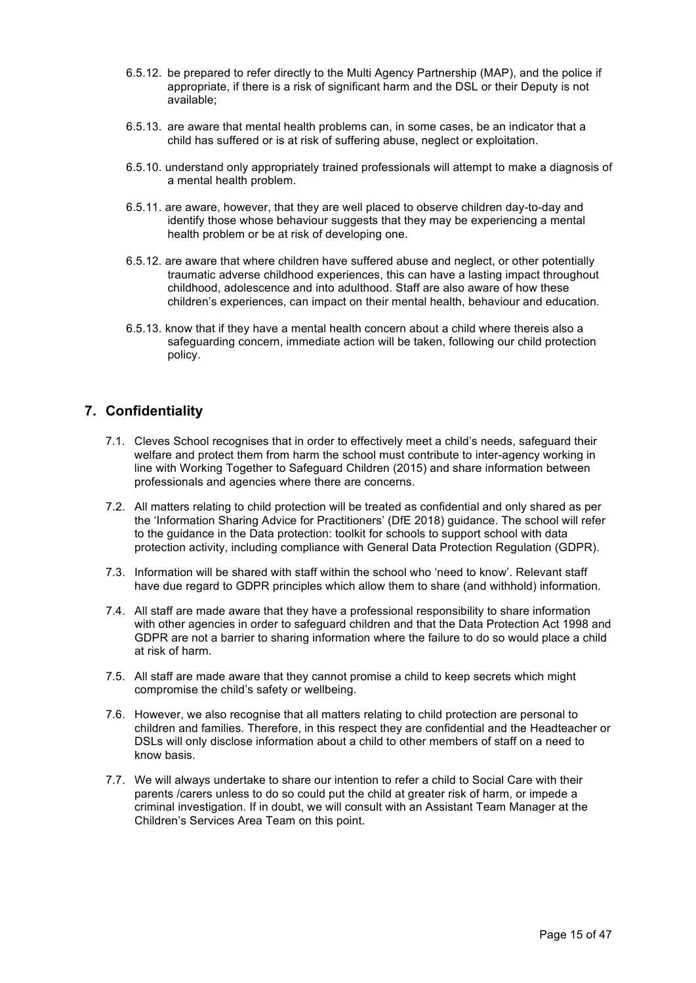- 6.5.12. be prepared to refer directly to the Multi Agency Partnership (MAP), and the police if appropriate, if there is a risk of significant harm and the DSL or their Deputy is not available;
- 6.5.13. are aware that mental health problems can, in some cases, be an indicator that a child has suffered or is at risk of suffering abuse, neglect or exploitation.
- 6.5.10. understand only appropriately trained professionals will attempt to make a diagnosis of a mental health problem.
- 6.5.11. are aware, however, that they are well placed to observe children day-to-day and identify those whose behaviour suggests that they may be experiencing a mental health problem or be at risk of developing one.
- 6.5.12. are aware that where children have suffered abuse and neglect, or other potentially traumatic adverse childhood experiences, this can have a lasting impact throughout childhood, adolescence and into adulthood. Staff are also aware of how these children's experiences, can impact on their mental health, behaviour and education.
- 6.5.13. know that if they have a mental health concern about a child where thereis also a safeguarding concern, immediate action will be taken, following our child protection policy.

# **7. Confidentiality**

- 7.1. Cleves School recognises that in order to effectively meet a child's needs, safeguard their welfare and protect them from harm the school must contribute to inter-agency working in line with Working Together to Safeguard Children (2015) and share information between professionals and agencies where there are concerns.
- 7.2. All matters relating to child protection will be treated as confidential and only shared as per the 'Information Sharing Advice for Practitioners' (DfE 2018) guidance. The school will refer to the guidance in the Data protection: toolkit for schools to support school with data protection activity, including compliance with General Data Protection Regulation (GDPR).
- 7.3. Information will be shared with staff within the school who 'need to know'. Relevant staff have due regard to GDPR principles which allow them to share (and withhold) information.
- 7.4. All staff are made aware that they have a professional responsibility to share information with other agencies in order to safeguard children and that the Data Protection Act 1998 and GDPR are not a barrier to sharing information where the failure to do so would place a child at risk of harm.
- 7.5. All staff are made aware that they cannot promise a child to keep secrets which might compromise the child's safety or wellbeing.
- 7.6. However, we also recognise that all matters relating to child protection are personal to children and families. Therefore, in this respect they are confidential and the Headteacher or DSLs will only disclose information about a child to other members of staff on a need to know basis.
- 7.7. We will always undertake to share our intention to refer a child to Social Care with their parents /carers unless to do so could put the child at greater risk of harm, or impede a criminal investigation. If in doubt, we will consult with an Assistant Team Manager at the Children's Services Area Team on this point.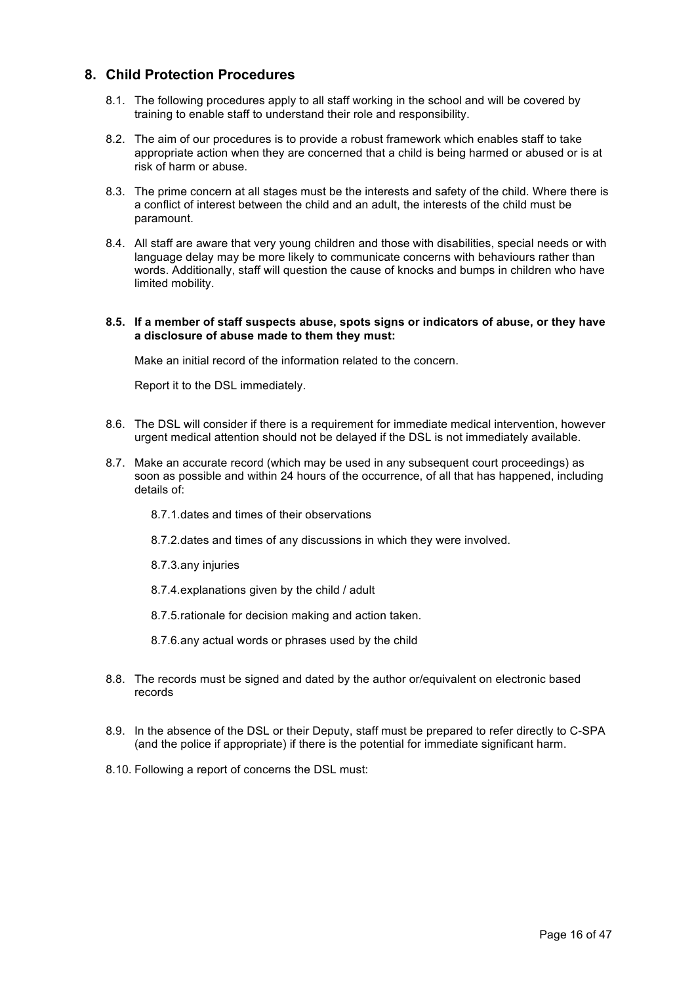## **8. Child Protection Procedures**

- 8.1. The following procedures apply to all staff working in the school and will be covered by training to enable staff to understand their role and responsibility.
- 8.2. The aim of our procedures is to provide a robust framework which enables staff to take appropriate action when they are concerned that a child is being harmed or abused or is at risk of harm or abuse.
- 8.3. The prime concern at all stages must be the interests and safety of the child. Where there is a conflict of interest between the child and an adult, the interests of the child must be paramount.
- 8.4. All staff are aware that very young children and those with disabilities, special needs or with language delay may be more likely to communicate concerns with behaviours rather than words. Additionally, staff will question the cause of knocks and bumps in children who have limited mobility.

#### **8.5. If a member of staff suspects abuse, spots signs or indicators of abuse, or they have a disclosure of abuse made to them they must:**

Make an initial record of the information related to the concern.

Report it to the DSL immediately.

- 8.6. The DSL will consider if there is a requirement for immediate medical intervention, however urgent medical attention should not be delayed if the DSL is not immediately available.
- 8.7. Make an accurate record (which may be used in any subsequent court proceedings) as soon as possible and within 24 hours of the occurrence, of all that has happened, including details of:
	- 8.7.1.dates and times of their observations
	- 8.7.2.dates and times of any discussions in which they were involved.
	- 8.7.3.any injuries
	- 8.7.4.explanations given by the child / adult
	- 8.7.5.rationale for decision making and action taken.
	- 8.7.6.any actual words or phrases used by the child
- 8.8. The records must be signed and dated by the author or/equivalent on electronic based records
- 8.9. In the absence of the DSL or their Deputy, staff must be prepared to refer directly to C-SPA (and the police if appropriate) if there is the potential for immediate significant harm.
- 8.10. Following a report of concerns the DSL must: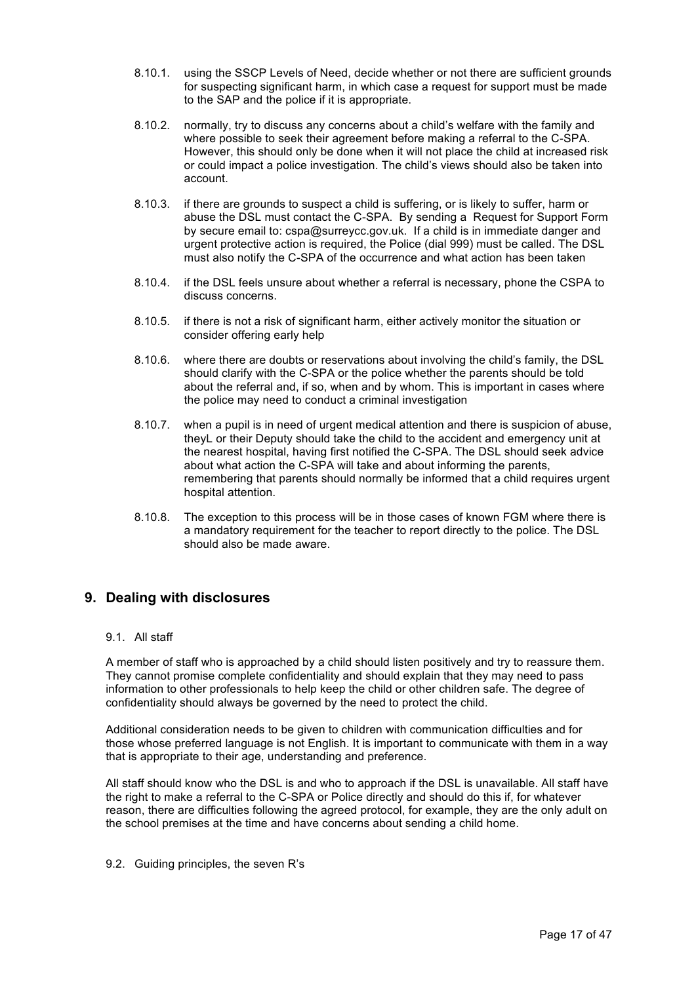- 8.10.1. using the SSCP Levels of Need, decide whether or not there are sufficient grounds for suspecting significant harm, in which case a request for support must be made to the SAP and the police if it is appropriate.
- 8.10.2. normally, try to discuss any concerns about a child's welfare with the family and where possible to seek their agreement before making a referral to the C-SPA. However, this should only be done when it will not place the child at increased risk or could impact a police investigation. The child's views should also be taken into account.
- 8.10.3. if there are grounds to suspect a child is suffering, or is likely to suffer, harm or abuse the DSL must contact the C-SPA. By sending a Request for Support Form by secure email to: cspa@surreycc.gov.uk. If a child is in immediate danger and urgent protective action is required, the Police (dial 999) must be called. The DSL must also notify the C-SPA of the occurrence and what action has been taken
- 8.10.4. if the DSL feels unsure about whether a referral is necessary, phone the CSPA to discuss concerns.
- 8.10.5. if there is not a risk of significant harm, either actively monitor the situation or consider offering early help
- 8.10.6. where there are doubts or reservations about involving the child's family, the DSL should clarify with the C-SPA or the police whether the parents should be told about the referral and, if so, when and by whom. This is important in cases where the police may need to conduct a criminal investigation
- 8.10.7. when a pupil is in need of urgent medical attention and there is suspicion of abuse, theyL or their Deputy should take the child to the accident and emergency unit at the nearest hospital, having first notified the C-SPA. The DSL should seek advice about what action the C-SPA will take and about informing the parents, remembering that parents should normally be informed that a child requires urgent hospital attention.
- 8.10.8. The exception to this process will be in those cases of known FGM where there is a mandatory requirement for the teacher to report directly to the police. The DSL should also be made aware.

## **9. Dealing with disclosures**

#### 9.1. All staff

A member of staff who is approached by a child should listen positively and try to reassure them. They cannot promise complete confidentiality and should explain that they may need to pass information to other professionals to help keep the child or other children safe. The degree of confidentiality should always be governed by the need to protect the child.

Additional consideration needs to be given to children with communication difficulties and for those whose preferred language is not English. It is important to communicate with them in a way that is appropriate to their age, understanding and preference.

All staff should know who the DSL is and who to approach if the DSL is unavailable. All staff have the right to make a referral to the C-SPA or Police directly and should do this if, for whatever reason, there are difficulties following the agreed protocol, for example, they are the only adult on the school premises at the time and have concerns about sending a child home.

9.2. Guiding principles, the seven R's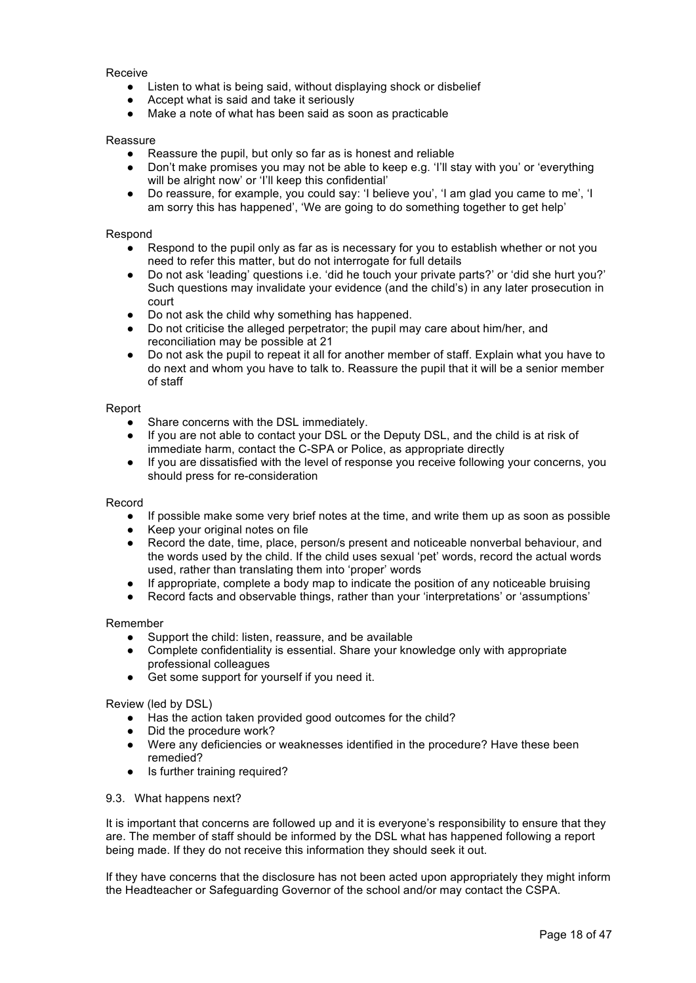Receive

- Listen to what is being said, without displaying shock or disbelief
- Accept what is said and take it seriously
- Make a note of what has been said as soon as practicable

#### Reassure

- Reassure the pupil, but only so far as is honest and reliable
- Don't make promises you may not be able to keep e.g. 'I'll stay with you' or 'everything will be alright now' or 'I'll keep this confidential'
- Do reassure, for example, you could say: 'I believe you', 'I am glad you came to me', 'I am sorry this has happened', 'We are going to do something together to get help'

#### Respond

- Respond to the pupil only as far as is necessary for you to establish whether or not you need to refer this matter, but do not interrogate for full details
- Do not ask 'leading' questions i.e. 'did he touch your private parts?' or 'did she hurt you?' Such questions may invalidate your evidence (and the child's) in any later prosecution in court
- Do not ask the child why something has happened.
- Do not criticise the alleged perpetrator; the pupil may care about him/her, and reconciliation may be possible at 21
- Do not ask the pupil to repeat it all for another member of staff. Explain what you have to do next and whom you have to talk to. Reassure the pupil that it will be a senior member of staff

#### Report

- Share concerns with the DSL immediately.
- If you are not able to contact your DSL or the Deputy DSL, and the child is at risk of immediate harm, contact the C-SPA or Police, as appropriate directly
- If you are dissatisfied with the level of response you receive following your concerns, you should press for re-consideration

#### Record

- If possible make some very brief notes at the time, and write them up as soon as possible
- Keep your original notes on file
- Record the date, time, place, person/s present and noticeable nonverbal behaviour, and the words used by the child. If the child uses sexual 'pet' words, record the actual words used, rather than translating them into 'proper' words
- If appropriate, complete a body map to indicate the position of any noticeable bruising
- Record facts and observable things, rather than your 'interpretations' or 'assumptions'

#### Remember

- Support the child: listen, reassure, and be available
- Complete confidentiality is essential. Share your knowledge only with appropriate professional colleagues
- Get some support for yourself if you need it.

#### Review (led by DSL)

- Has the action taken provided good outcomes for the child?
- Did the procedure work?
- Were any deficiencies or weaknesses identified in the procedure? Have these been remedied?
- Is further training required?

#### 9.3. What happens next?

It is important that concerns are followed up and it is everyone's responsibility to ensure that they are. The member of staff should be informed by the DSL what has happened following a report being made. If they do not receive this information they should seek it out.

If they have concerns that the disclosure has not been acted upon appropriately they might inform the Headteacher or Safeguarding Governor of the school and/or may contact the CSPA.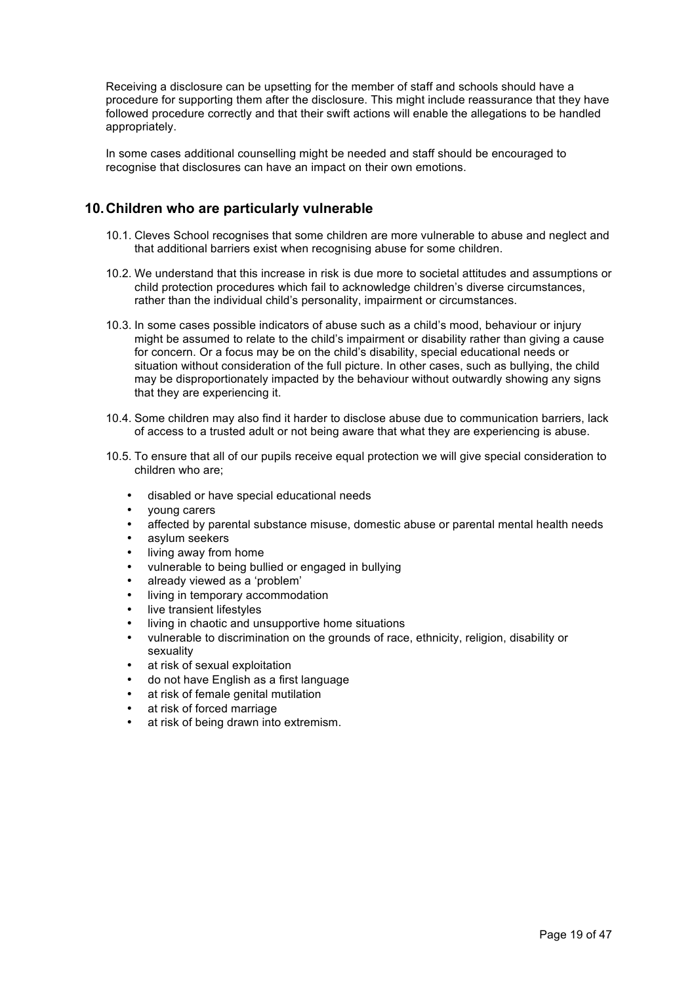Receiving a disclosure can be upsetting for the member of staff and schools should have a procedure for supporting them after the disclosure. This might include reassurance that they have followed procedure correctly and that their swift actions will enable the allegations to be handled appropriately.

In some cases additional counselling might be needed and staff should be encouraged to recognise that disclosures can have an impact on their own emotions.

# **10.Children who are particularly vulnerable**

- 10.1. Cleves School recognises that some children are more vulnerable to abuse and neglect and that additional barriers exist when recognising abuse for some children.
- 10.2. We understand that this increase in risk is due more to societal attitudes and assumptions or child protection procedures which fail to acknowledge children's diverse circumstances, rather than the individual child's personality, impairment or circumstances.
- 10.3. In some cases possible indicators of abuse such as a child's mood, behaviour or injury might be assumed to relate to the child's impairment or disability rather than giving a cause for concern. Or a focus may be on the child's disability, special educational needs or situation without consideration of the full picture. In other cases, such as bullying, the child may be disproportionately impacted by the behaviour without outwardly showing any signs that they are experiencing it.
- 10.4. Some children may also find it harder to disclose abuse due to communication barriers, lack of access to a trusted adult or not being aware that what they are experiencing is abuse.
- 10.5. To ensure that all of our pupils receive equal protection we will give special consideration to children who are;
	- disabled or have special educational needs
	- young carers
	- affected by parental substance misuse, domestic abuse or parental mental health needs
	- asylum seekers
	- living away from home
	- vulnerable to being bullied or engaged in bullying
	- already viewed as a 'problem'
	- living in temporary accommodation
	- live transient lifestyles
	- living in chaotic and unsupportive home situations
	- vulnerable to discrimination on the grounds of race, ethnicity, religion, disability or sexuality
	- at risk of sexual exploitation
	- do not have English as a first language
	- at risk of female genital mutilation
	- at risk of forced marriage
	- at risk of being drawn into extremism.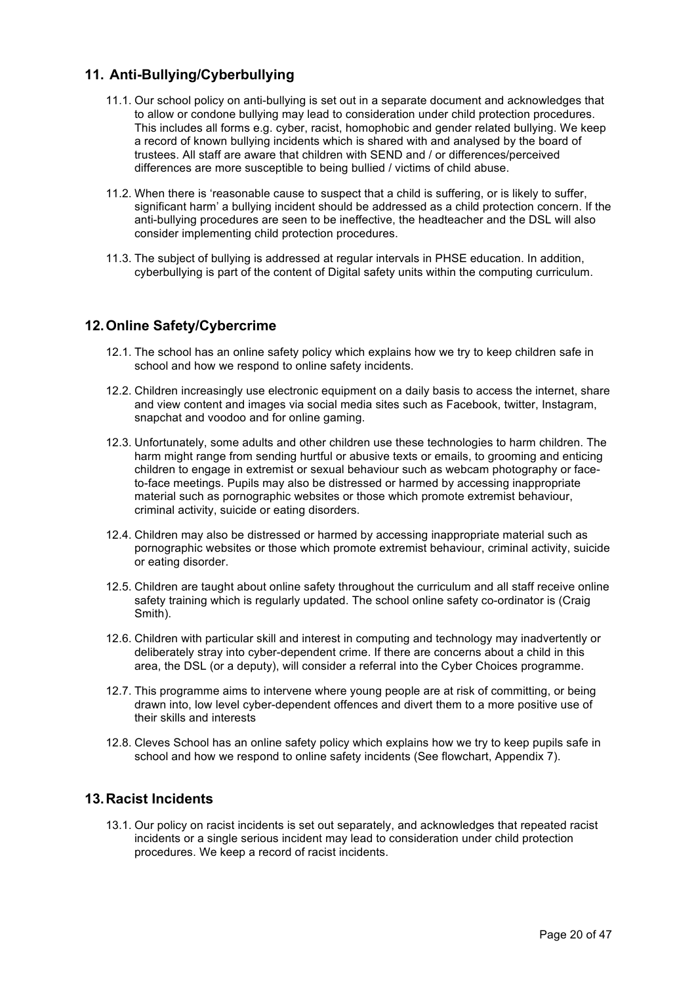# **11. Anti-Bullying/Cyberbullying**

- 11.1. Our school policy on anti-bullying is set out in a separate document and acknowledges that to allow or condone bullying may lead to consideration under child protection procedures. This includes all forms e.g. cyber, racist, homophobic and gender related bullying. We keep a record of known bullying incidents which is shared with and analysed by the board of trustees. All staff are aware that children with SEND and / or differences/perceived differences are more susceptible to being bullied / victims of child abuse.
- 11.2. When there is 'reasonable cause to suspect that a child is suffering, or is likely to suffer, significant harm' a bullying incident should be addressed as a child protection concern. If the anti-bullying procedures are seen to be ineffective, the headteacher and the DSL will also consider implementing child protection procedures.
- 11.3. The subject of bullying is addressed at regular intervals in PHSE education. In addition, cyberbullying is part of the content of Digital safety units within the computing curriculum.

## **12.Online Safety/Cybercrime**

- 12.1. The school has an online safety policy which explains how we try to keep children safe in school and how we respond to online safety incidents.
- 12.2. Children increasingly use electronic equipment on a daily basis to access the internet, share and view content and images via social media sites such as Facebook, twitter, Instagram, snapchat and voodoo and for online gaming.
- 12.3. Unfortunately, some adults and other children use these technologies to harm children. The harm might range from sending hurtful or abusive texts or emails, to grooming and enticing children to engage in extremist or sexual behaviour such as webcam photography or faceto-face meetings. Pupils may also be distressed or harmed by accessing inappropriate material such as pornographic websites or those which promote extremist behaviour, criminal activity, suicide or eating disorders.
- 12.4. Children may also be distressed or harmed by accessing inappropriate material such as pornographic websites or those which promote extremist behaviour, criminal activity, suicide or eating disorder.
- 12.5. Children are taught about online safety throughout the curriculum and all staff receive online safety training which is regularly updated. The school online safety co-ordinator is (Craig Smith).
- 12.6. Children with particular skill and interest in computing and technology may inadvertently or deliberately stray into cyber-dependent crime. If there are concerns about a child in this area, the DSL (or a deputy), will consider a referral into the Cyber Choices programme.
- 12.7. This programme aims to intervene where young people are at risk of committing, or being drawn into, low level cyber-dependent offences and divert them to a more positive use of their skills and interests
- 12.8. Cleves School has an online safety policy which explains how we try to keep pupils safe in school and how we respond to online safety incidents (See flowchart, Appendix 7).

## **13.Racist Incidents**

13.1. Our policy on racist incidents is set out separately, and acknowledges that repeated racist incidents or a single serious incident may lead to consideration under child protection procedures. We keep a record of racist incidents.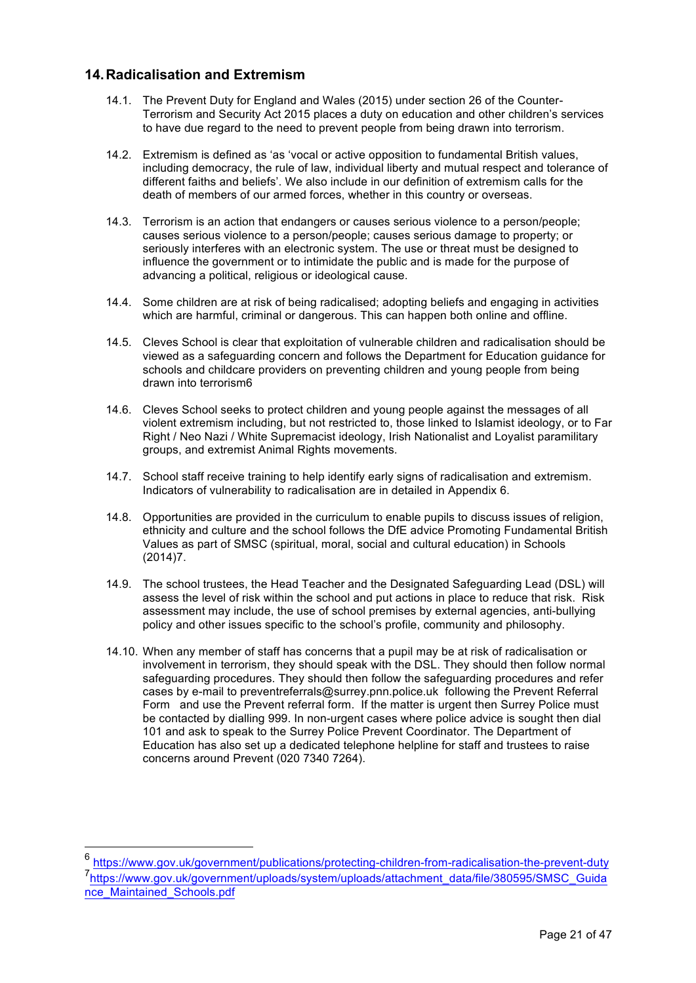## **14.Radicalisation and Extremism**

- 14.1. The Prevent Duty for England and Wales (2015) under section 26 of the Counter-Terrorism and Security Act 2015 places a duty on education and other children's services to have due regard to the need to prevent people from being drawn into terrorism.
- 14.2. Extremism is defined as 'as 'vocal or active opposition to fundamental British values, including democracy, the rule of law, individual liberty and mutual respect and tolerance of different faiths and beliefs'. We also include in our definition of extremism calls for the death of members of our armed forces, whether in this country or overseas.
- 14.3. Terrorism is an action that endangers or causes serious violence to a person/people; causes serious violence to a person/people; causes serious damage to property; or seriously interferes with an electronic system. The use or threat must be designed to influence the government or to intimidate the public and is made for the purpose of advancing a political, religious or ideological cause.
- 14.4. Some children are at risk of being radicalised; adopting beliefs and engaging in activities which are harmful, criminal or dangerous. This can happen both online and offline.
- 14.5. Cleves School is clear that exploitation of vulnerable children and radicalisation should be viewed as a safeguarding concern and follows the Department for Education guidance for schools and childcare providers on preventing children and young people from being drawn into terrorism6
- 14.6. Cleves School seeks to protect children and young people against the messages of all violent extremism including, but not restricted to, those linked to Islamist ideology, or to Far Right / Neo Nazi / White Supremacist ideology, Irish Nationalist and Loyalist paramilitary groups, and extremist Animal Rights movements.
- 14.7. School staff receive training to help identify early signs of radicalisation and extremism. Indicators of vulnerability to radicalisation are in detailed in Appendix 6.
- 14.8. Opportunities are provided in the curriculum to enable pupils to discuss issues of religion, ethnicity and culture and the school follows the DfE advice Promoting Fundamental British Values as part of SMSC (spiritual, moral, social and cultural education) in Schools (2014)7.
- 14.9. The school trustees, the Head Teacher and the Designated Safeguarding Lead (DSL) will assess the level of risk within the school and put actions in place to reduce that risk. Risk assessment may include, the use of school premises by external agencies, anti-bullying policy and other issues specific to the school's profile, community and philosophy.
- 14.10. When any member of staff has concerns that a pupil may be at risk of radicalisation or involvement in terrorism, they should speak with the DSL. They should then follow normal safeguarding procedures. They should then follow the safeguarding procedures and refer cases by e-mail to preventreferrals@surrey.pnn.police.uk following the Prevent Referral Form and use the Prevent referral form. If the matter is urgent then Surrey Police must be contacted by dialling 999. In non-urgent cases where police advice is sought then dial 101 and ask to speak to the Surrey Police Prevent Coordinator. The Department of Education has also set up a dedicated telephone helpline for staff and trustees to raise concerns around Prevent (020 7340 7264).

https://www.gov.uk/government/publications/protecting-children-from-radicalisation-the-prevent-duty 7<br>https://www.gov.uk/government/uploads/system/uploads/attachment\_data/file/380595/SMSC\_Guida nce\_Maintained\_Schools.pdf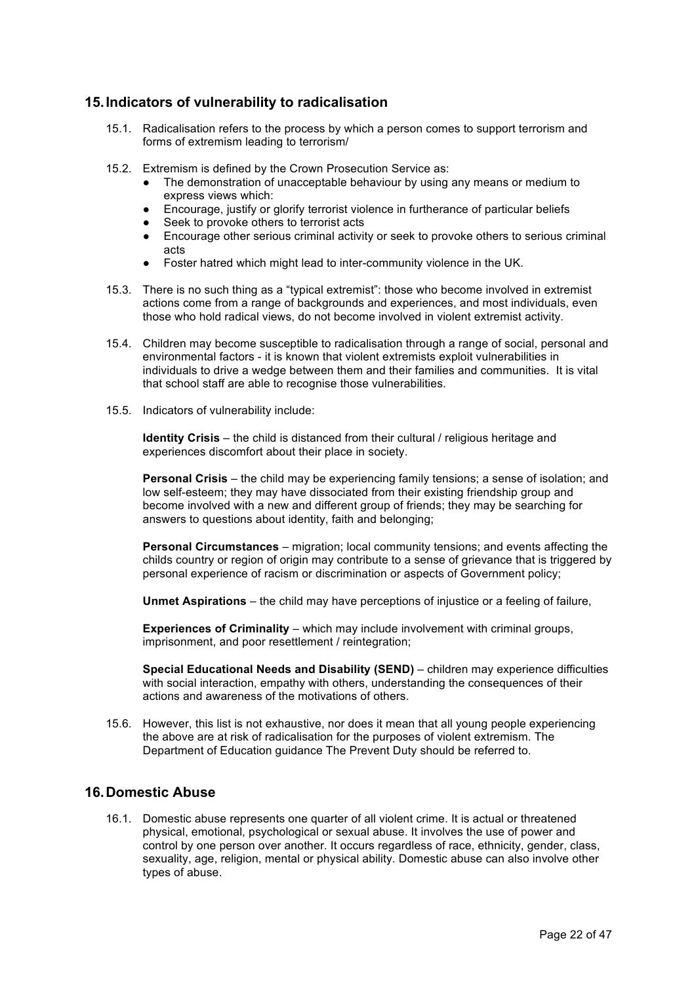## **15.Indicators of vulnerability to radicalisation**

- 15.1. Radicalisation refers to the process by which a person comes to support terrorism and forms of extremism leading to terrorism/
- 15.2. Extremism is defined by the Crown Prosecution Service as:
	- The demonstration of unacceptable behaviour by using any means or medium to express views which:
	- Encourage, justify or glorify terrorist violence in furtherance of particular beliefs
	- Seek to provoke others to terrorist acts
	- Encourage other serious criminal activity or seek to provoke others to serious criminal acts
	- Foster hatred which might lead to inter-community violence in the UK.
- 15.3. There is no such thing as a "typical extremist": those who become involved in extremist actions come from a range of backgrounds and experiences, and most individuals, even those who hold radical views, do not become involved in violent extremist activity.
- 15.4. Children may become susceptible to radicalisation through a range of social, personal and environmental factors - it is known that violent extremists exploit vulnerabilities in individuals to drive a wedge between them and their families and communities. It is vital that school staff are able to recognise those vulnerabilities.
- 15.5. Indicators of vulnerability include:

**Identity Crisis** – the child is distanced from their cultural / religious heritage and experiences discomfort about their place in society.

**Personal Crisis** – the child may be experiencing family tensions; a sense of isolation; and low self-esteem; they may have dissociated from their existing friendship group and become involved with a new and different group of friends; they may be searching for answers to questions about identity, faith and belonging;

**Personal Circumstances** – migration; local community tensions; and events affecting the childs country or region of origin may contribute to a sense of grievance that is triggered by personal experience of racism or discrimination or aspects of Government policy;

**Unmet Aspirations** – the child may have perceptions of injustice or a feeling of failure,

**Experiences of Criminality** – which may include involvement with criminal groups, imprisonment, and poor resettlement / reintegration;

**Special Educational Needs and Disability (SEND)** – children may experience difficulties with social interaction, empathy with others, understanding the consequences of their actions and awareness of the motivations of others.

15.6. However, this list is not exhaustive, nor does it mean that all young people experiencing the above are at risk of radicalisation for the purposes of violent extremism. The Department of Education guidance The Prevent Duty should be referred to.

## **16.Domestic Abuse**

16.1. Domestic abuse represents one quarter of all violent crime. It is actual or threatened physical, emotional, psychological or sexual abuse. It involves the use of power and control by one person over another. It occurs regardless of race, ethnicity, gender, class, sexuality, age, religion, mental or physical ability. Domestic abuse can also involve other types of abuse.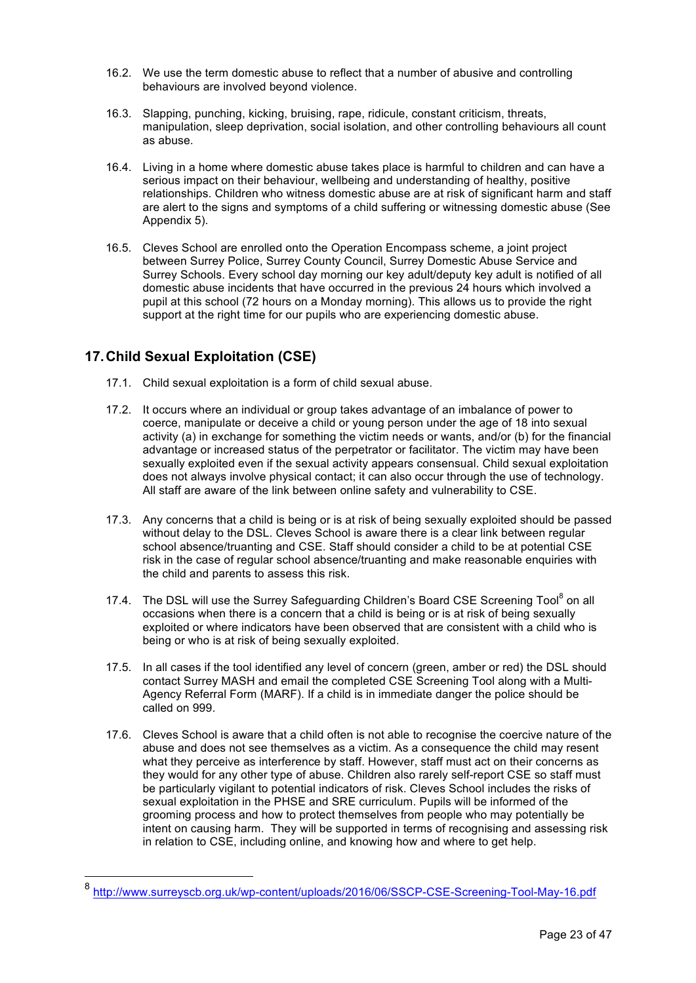- 16.2. We use the term domestic abuse to reflect that a number of abusive and controlling behaviours are involved beyond violence.
- 16.3. Slapping, punching, kicking, bruising, rape, ridicule, constant criticism, threats, manipulation, sleep deprivation, social isolation, and other controlling behaviours all count as abuse.
- 16.4. Living in a home where domestic abuse takes place is harmful to children and can have a serious impact on their behaviour, wellbeing and understanding of healthy, positive relationships. Children who witness domestic abuse are at risk of significant harm and staff are alert to the signs and symptoms of a child suffering or witnessing domestic abuse (See Appendix 5).
- 16.5. Cleves School are enrolled onto the Operation Encompass scheme, a joint project between Surrey Police, Surrey County Council, Surrey Domestic Abuse Service and Surrey Schools. Every school day morning our key adult/deputy key adult is notified of all domestic abuse incidents that have occurred in the previous 24 hours which involved a pupil at this school (72 hours on a Monday morning). This allows us to provide the right support at the right time for our pupils who are experiencing domestic abuse.

# **17.Child Sexual Exploitation (CSE)**

- 17.1. Child sexual exploitation is a form of child sexual abuse.
- 17.2. It occurs where an individual or group takes advantage of an imbalance of power to coerce, manipulate or deceive a child or young person under the age of 18 into sexual activity (a) in exchange for something the victim needs or wants, and/or (b) for the financial advantage or increased status of the perpetrator or facilitator. The victim may have been sexually exploited even if the sexual activity appears consensual. Child sexual exploitation does not always involve physical contact; it can also occur through the use of technology. All staff are aware of the link between online safety and vulnerability to CSE.
- 17.3. Any concerns that a child is being or is at risk of being sexually exploited should be passed without delay to the DSL. Cleves School is aware there is a clear link between regular school absence/truanting and CSE. Staff should consider a child to be at potential CSE risk in the case of regular school absence/truanting and make reasonable enquiries with the child and parents to assess this risk.
- 17.4. The DSL will use the Surrey Safeguarding Children's Board CSE Screening Tool<sup>8</sup> on all occasions when there is a concern that a child is being or is at risk of being sexually exploited or where indicators have been observed that are consistent with a child who is being or who is at risk of being sexually exploited.
- 17.5. In all cases if the tool identified any level of concern (green, amber or red) the DSL should contact Surrey MASH and email the completed CSE Screening Tool along with a Multi-Agency Referral Form (MARF). If a child is in immediate danger the police should be called on 999.
- 17.6. Cleves School is aware that a child often is not able to recognise the coercive nature of the abuse and does not see themselves as a victim. As a consequence the child may resent what they perceive as interference by staff. However, staff must act on their concerns as they would for any other type of abuse. Children also rarely self-report CSE so staff must be particularly vigilant to potential indicators of risk. Cleves School includes the risks of sexual exploitation in the PHSE and SRE curriculum. Pupils will be informed of the grooming process and how to protect themselves from people who may potentially be intent on causing harm. They will be supported in terms of recognising and assessing risk in relation to CSE, including online, and knowing how and where to get help.

 <sup>8</sup> http://www.surreyscb.org.uk/wp-content/uploads/2016/06/SSCP-CSE-Screening-Tool-May-16.pdf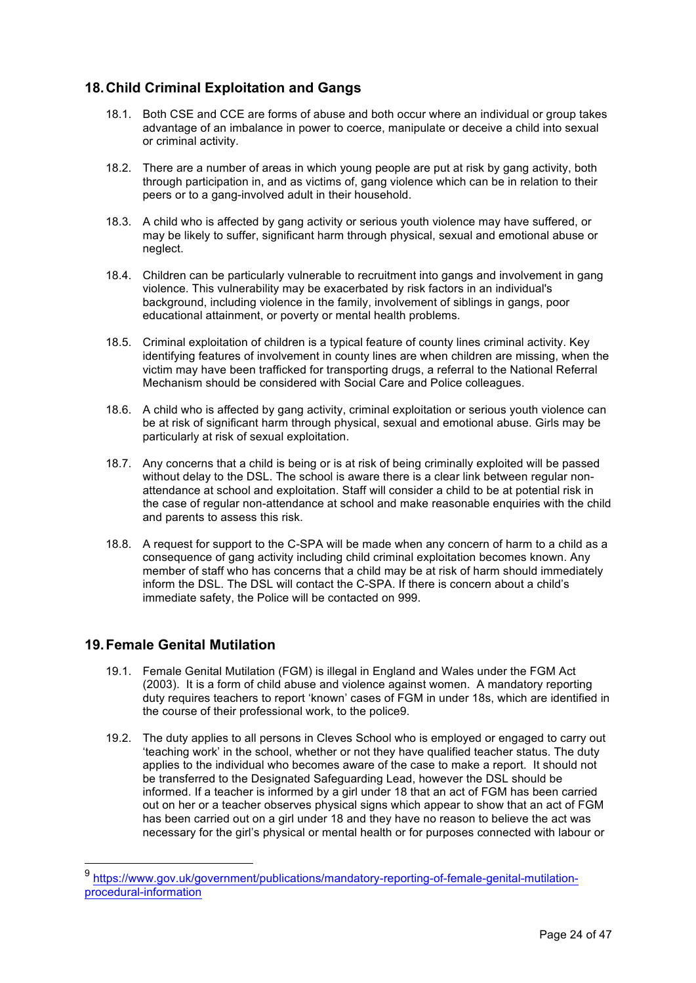# **18.Child Criminal Exploitation and Gangs**

- 18.1. Both CSE and CCE are forms of abuse and both occur where an individual or group takes advantage of an imbalance in power to coerce, manipulate or deceive a child into sexual or criminal activity.
- 18.2. There are a number of areas in which young people are put at risk by gang activity, both through participation in, and as victims of, gang violence which can be in relation to their peers or to a gang-involved adult in their household.
- 18.3. A child who is affected by gang activity or serious youth violence may have suffered, or may be likely to suffer, significant harm through physical, sexual and emotional abuse or neglect.
- 18.4. Children can be particularly vulnerable to recruitment into gangs and involvement in gang violence. This vulnerability may be exacerbated by risk factors in an individual's background, including violence in the family, involvement of siblings in gangs, poor educational attainment, or poverty or mental health problems.
- 18.5. Criminal exploitation of children is a typical feature of county lines criminal activity. Key identifying features of involvement in county lines are when children are missing, when the victim may have been trafficked for transporting drugs, a referral to the National Referral Mechanism should be considered with Social Care and Police colleagues.
- 18.6. A child who is affected by gang activity, criminal exploitation or serious youth violence can be at risk of significant harm through physical, sexual and emotional abuse. Girls may be particularly at risk of sexual exploitation.
- 18.7. Any concerns that a child is being or is at risk of being criminally exploited will be passed without delay to the DSL. The school is aware there is a clear link between regular nonattendance at school and exploitation. Staff will consider a child to be at potential risk in the case of regular non-attendance at school and make reasonable enquiries with the child and parents to assess this risk.
- 18.8. A request for support to the C-SPA will be made when any concern of harm to a child as a consequence of gang activity including child criminal exploitation becomes known. Any member of staff who has concerns that a child may be at risk of harm should immediately inform the DSL. The DSL will contact the C-SPA. If there is concern about a child's immediate safety, the Police will be contacted on 999.

# **19.Female Genital Mutilation**

- 19.1. Female Genital Mutilation (FGM) is illegal in England and Wales under the FGM Act (2003). It is a form of child abuse and violence against women. A mandatory reporting duty requires teachers to report 'known' cases of FGM in under 18s, which are identified in the course of their professional work, to the police9.
- 19.2. The duty applies to all persons in Cleves School who is employed or engaged to carry out 'teaching work' in the school, whether or not they have qualified teacher status. The duty applies to the individual who becomes aware of the case to make a report. It should not be transferred to the Designated Safeguarding Lead, however the DSL should be informed. If a teacher is informed by a girl under 18 that an act of FGM has been carried out on her or a teacher observes physical signs which appear to show that an act of FGM has been carried out on a girl under 18 and they have no reason to believe the act was necessary for the girl's physical or mental health or for purposes connected with labour or

 <sup>9</sup> https://www.gov.uk/government/publications/mandatory-reporting-of-female-genital-mutilationprocedural-information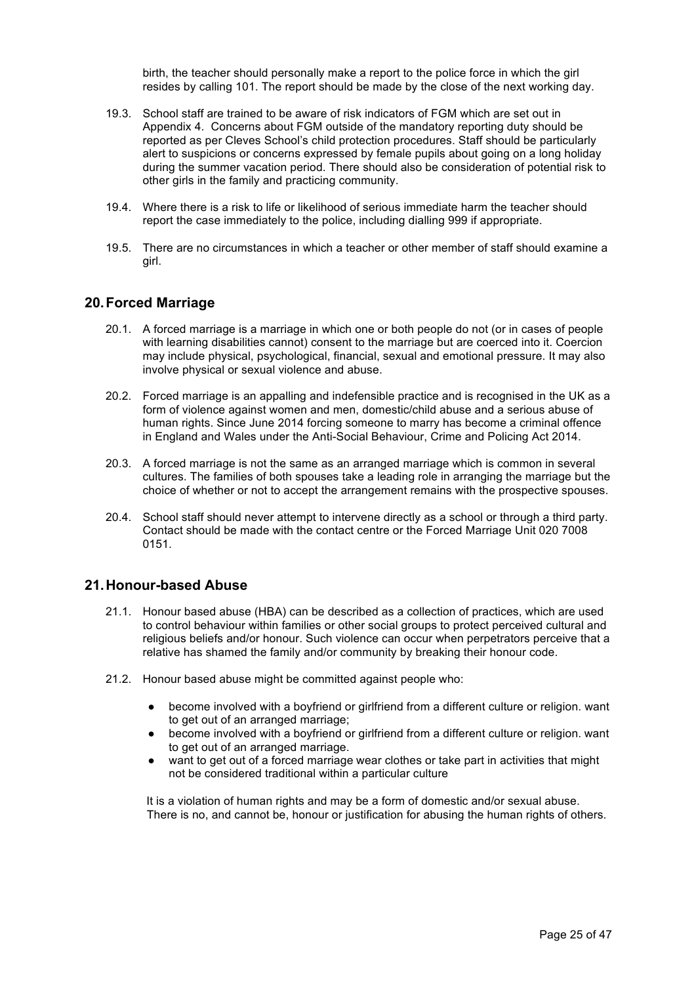birth, the teacher should personally make a report to the police force in which the girl resides by calling 101. The report should be made by the close of the next working day.

- 19.3. School staff are trained to be aware of risk indicators of FGM which are set out in Appendix 4. Concerns about FGM outside of the mandatory reporting duty should be reported as per Cleves School's child protection procedures. Staff should be particularly alert to suspicions or concerns expressed by female pupils about going on a long holiday during the summer vacation period. There should also be consideration of potential risk to other girls in the family and practicing community.
- 19.4. Where there is a risk to life or likelihood of serious immediate harm the teacher should report the case immediately to the police, including dialling 999 if appropriate.
- 19.5. There are no circumstances in which a teacher or other member of staff should examine a girl.

## **20.Forced Marriage**

- 20.1. A forced marriage is a marriage in which one or both people do not (or in cases of people with learning disabilities cannot) consent to the marriage but are coerced into it. Coercion may include physical, psychological, financial, sexual and emotional pressure. It may also involve physical or sexual violence and abuse.
- 20.2. Forced marriage is an appalling and indefensible practice and is recognised in the UK as a form of violence against women and men, domestic/child abuse and a serious abuse of human rights. Since June 2014 forcing someone to marry has become a criminal offence in England and Wales under the Anti-Social Behaviour, Crime and Policing Act 2014.
- 20.3. A forced marriage is not the same as an arranged marriage which is common in several cultures. The families of both spouses take a leading role in arranging the marriage but the choice of whether or not to accept the arrangement remains with the prospective spouses.
- 20.4. School staff should never attempt to intervene directly as a school or through a third party. Contact should be made with the contact centre or the Forced Marriage Unit 020 7008 0151.

## **21.Honour-based Abuse**

- 21.1. Honour based abuse (HBA) can be described as a collection of practices, which are used to control behaviour within families or other social groups to protect perceived cultural and religious beliefs and/or honour. Such violence can occur when perpetrators perceive that a relative has shamed the family and/or community by breaking their honour code.
- 21.2. Honour based abuse might be committed against people who:
	- become involved with a boyfriend or girlfriend from a different culture or religion. want to get out of an arranged marriage;
	- become involved with a boyfriend or girlfriend from a different culture or religion. want to get out of an arranged marriage.
	- want to get out of a forced marriage wear clothes or take part in activities that might not be considered traditional within a particular culture

It is a violation of human rights and may be a form of domestic and/or sexual abuse. There is no, and cannot be, honour or justification for abusing the human rights of others.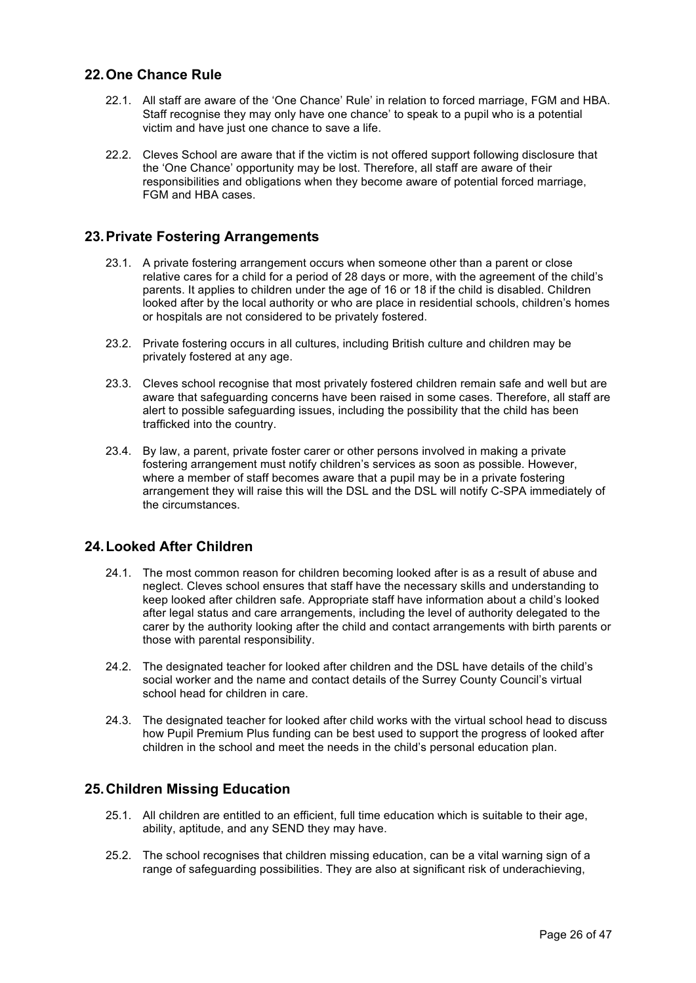## **22.One Chance Rule**

- 22.1. All staff are aware of the 'One Chance' Rule' in relation to forced marriage, FGM and HBA. Staff recognise they may only have one chance' to speak to a pupil who is a potential victim and have just one chance to save a life.
- 22.2. Cleves School are aware that if the victim is not offered support following disclosure that the 'One Chance' opportunity may be lost. Therefore, all staff are aware of their responsibilities and obligations when they become aware of potential forced marriage, FGM and HBA cases.

## **23.Private Fostering Arrangements**

- 23.1. A private fostering arrangement occurs when someone other than a parent or close relative cares for a child for a period of 28 days or more, with the agreement of the child's parents. It applies to children under the age of 16 or 18 if the child is disabled. Children looked after by the local authority or who are place in residential schools, children's homes or hospitals are not considered to be privately fostered.
- 23.2. Private fostering occurs in all cultures, including British culture and children may be privately fostered at any age.
- 23.3. Cleves school recognise that most privately fostered children remain safe and well but are aware that safeguarding concerns have been raised in some cases. Therefore, all staff are alert to possible safeguarding issues, including the possibility that the child has been trafficked into the country.
- 23.4. By law, a parent, private foster carer or other persons involved in making a private fostering arrangement must notify children's services as soon as possible. However, where a member of staff becomes aware that a pupil may be in a private fostering arrangement they will raise this will the DSL and the DSL will notify C-SPA immediately of the circumstances.

## **24.Looked After Children**

- 24.1. The most common reason for children becoming looked after is as a result of abuse and neglect. Cleves school ensures that staff have the necessary skills and understanding to keep looked after children safe. Appropriate staff have information about a child's looked after legal status and care arrangements, including the level of authority delegated to the carer by the authority looking after the child and contact arrangements with birth parents or those with parental responsibility.
- 24.2. The designated teacher for looked after children and the DSL have details of the child's social worker and the name and contact details of the Surrey County Council's virtual school head for children in care.
- 24.3. The designated teacher for looked after child works with the virtual school head to discuss how Pupil Premium Plus funding can be best used to support the progress of looked after children in the school and meet the needs in the child's personal education plan.

## **25.Children Missing Education**

- 25.1. All children are entitled to an efficient, full time education which is suitable to their age, ability, aptitude, and any SEND they may have.
- 25.2. The school recognises that children missing education, can be a vital warning sign of a range of safeguarding possibilities. They are also at significant risk of underachieving,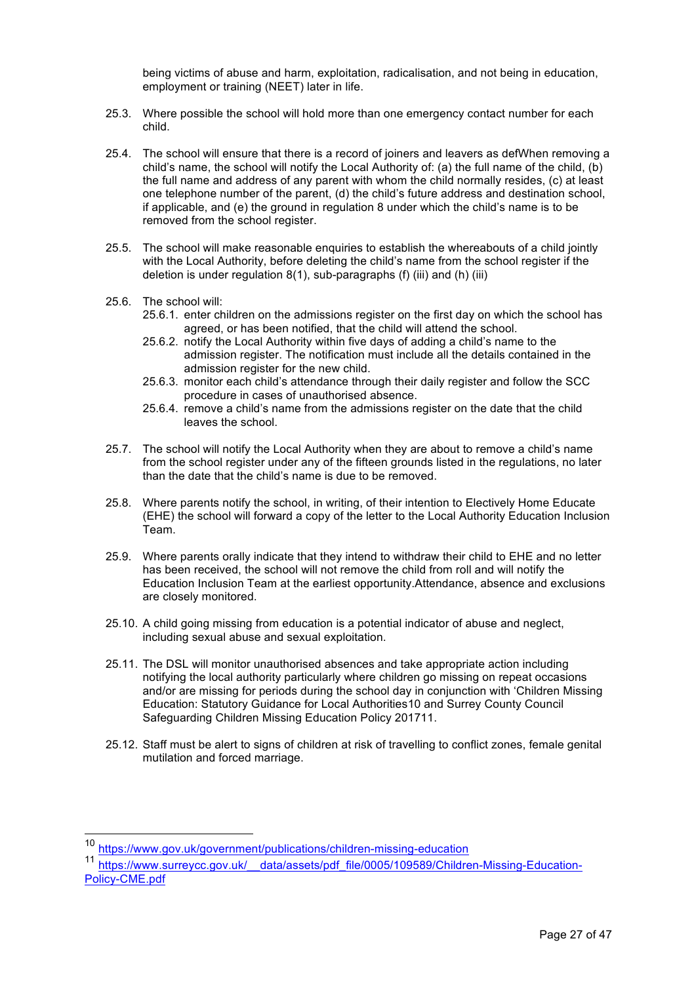being victims of abuse and harm, exploitation, radicalisation, and not being in education, employment or training (NEET) later in life.

- 25.3. Where possible the school will hold more than one emergency contact number for each child.
- 25.4. The school will ensure that there is a record of joiners and leavers as defWhen removing a child's name, the school will notify the Local Authority of: (a) the full name of the child, (b) the full name and address of any parent with whom the child normally resides, (c) at least one telephone number of the parent, (d) the child's future address and destination school, if applicable, and (e) the ground in regulation 8 under which the child's name is to be removed from the school register.
- 25.5. The school will make reasonable enquiries to establish the whereabouts of a child jointly with the Local Authority, before deleting the child's name from the school register if the deletion is under regulation 8(1), sub-paragraphs (f) (iii) and (h) (iii)
- 25.6. The school will:
	- 25.6.1. enter children on the admissions register on the first day on which the school has agreed, or has been notified, that the child will attend the school.
	- 25.6.2. notify the Local Authority within five days of adding a child's name to the admission register. The notification must include all the details contained in the admission register for the new child.
	- 25.6.3. monitor each child's attendance through their daily register and follow the SCC procedure in cases of unauthorised absence.
	- 25.6.4. remove a child's name from the admissions register on the date that the child leaves the school.
- 25.7. The school will notify the Local Authority when they are about to remove a child's name from the school register under any of the fifteen grounds listed in the regulations, no later than the date that the child's name is due to be removed.
- 25.8. Where parents notify the school, in writing, of their intention to Electively Home Educate (EHE) the school will forward a copy of the letter to the Local Authority Education Inclusion Team.
- 25.9. Where parents orally indicate that they intend to withdraw their child to EHE and no letter has been received, the school will not remove the child from roll and will notify the Education Inclusion Team at the earliest opportunity.Attendance, absence and exclusions are closely monitored.
- 25.10. A child going missing from education is a potential indicator of abuse and neglect, including sexual abuse and sexual exploitation.
- 25.11. The DSL will monitor unauthorised absences and take appropriate action including notifying the local authority particularly where children go missing on repeat occasions and/or are missing for periods during the school day in conjunction with 'Children Missing Education: Statutory Guidance for Local Authorities10 and Surrey County Council Safeguarding Children Missing Education Policy 201711.
- 25.12. Staff must be alert to signs of children at risk of travelling to conflict zones, female genital mutilation and forced marriage.

https://www.gov.uk/government/publications/children-missing-education

<sup>11</sup> https://www.surreycc.gov.uk/ data/assets/pdf\_file/0005/109589/Children-Missing-Education-Policy-CME.pdf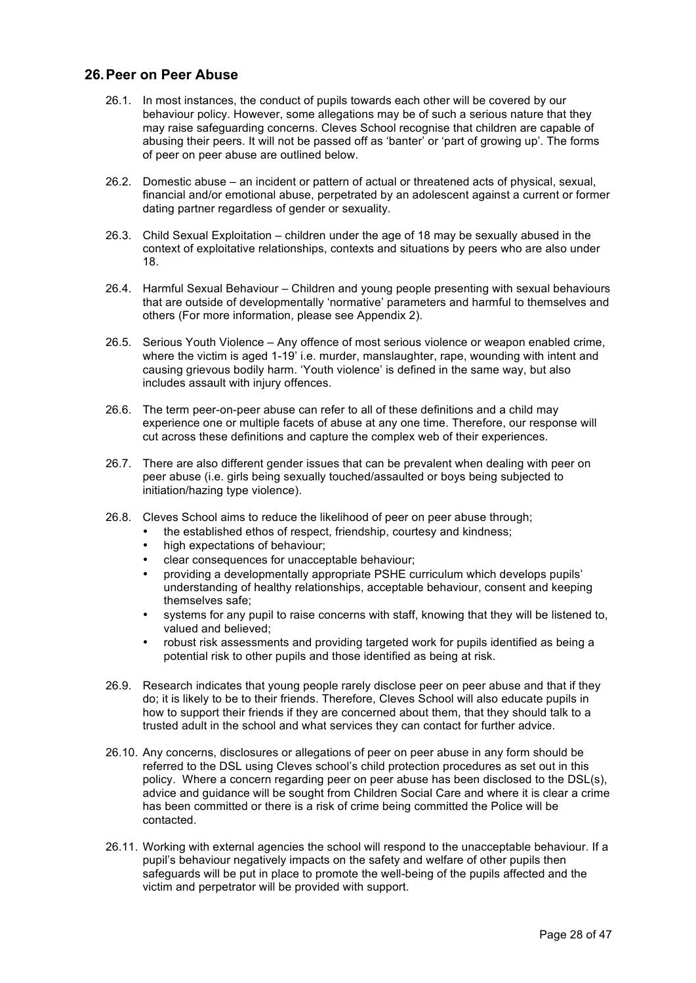## **26.Peer on Peer Abuse**

- 26.1. In most instances, the conduct of pupils towards each other will be covered by our behaviour policy. However, some allegations may be of such a serious nature that they may raise safeguarding concerns. Cleves School recognise that children are capable of abusing their peers. It will not be passed off as 'banter' or 'part of growing up'. The forms of peer on peer abuse are outlined below.
- 26.2. Domestic abuse an incident or pattern of actual or threatened acts of physical, sexual, financial and/or emotional abuse, perpetrated by an adolescent against a current or former dating partner regardless of gender or sexuality.
- 26.3. Child Sexual Exploitation children under the age of 18 may be sexually abused in the context of exploitative relationships, contexts and situations by peers who are also under 18.
- 26.4. Harmful Sexual Behaviour Children and young people presenting with sexual behaviours that are outside of developmentally 'normative' parameters and harmful to themselves and others (For more information, please see Appendix 2).
- 26.5. Serious Youth Violence Any offence of most serious violence or weapon enabled crime, where the victim is aged 1-19' i.e. murder, manslaughter, rape, wounding with intent and causing grievous bodily harm. 'Youth violence' is defined in the same way, but also includes assault with injury offences.
- 26.6. The term peer-on-peer abuse can refer to all of these definitions and a child may experience one or multiple facets of abuse at any one time. Therefore, our response will cut across these definitions and capture the complex web of their experiences.
- 26.7. There are also different gender issues that can be prevalent when dealing with peer on peer abuse (i.e. girls being sexually touched/assaulted or boys being subjected to initiation/hazing type violence).
- 26.8. Cleves School aims to reduce the likelihood of peer on peer abuse through;
	- the established ethos of respect, friendship, courtesy and kindness;
	- high expectations of behaviour;
	- clear consequences for unacceptable behaviour;
	- providing a developmentally appropriate PSHE curriculum which develops pupils' understanding of healthy relationships, acceptable behaviour, consent and keeping themselves safe;
	- systems for any pupil to raise concerns with staff, knowing that they will be listened to, valued and believed;
	- robust risk assessments and providing targeted work for pupils identified as being a potential risk to other pupils and those identified as being at risk.
- 26.9. Research indicates that young people rarely disclose peer on peer abuse and that if they do; it is likely to be to their friends. Therefore, Cleves School will also educate pupils in how to support their friends if they are concerned about them, that they should talk to a trusted adult in the school and what services they can contact for further advice.
- 26.10. Any concerns, disclosures or allegations of peer on peer abuse in any form should be referred to the DSL using Cleves school's child protection procedures as set out in this policy. Where a concern regarding peer on peer abuse has been disclosed to the DSL(s), advice and guidance will be sought from Children Social Care and where it is clear a crime has been committed or there is a risk of crime being committed the Police will be contacted.
- 26.11. Working with external agencies the school will respond to the unacceptable behaviour. If a pupil's behaviour negatively impacts on the safety and welfare of other pupils then safeguards will be put in place to promote the well-being of the pupils affected and the victim and perpetrator will be provided with support.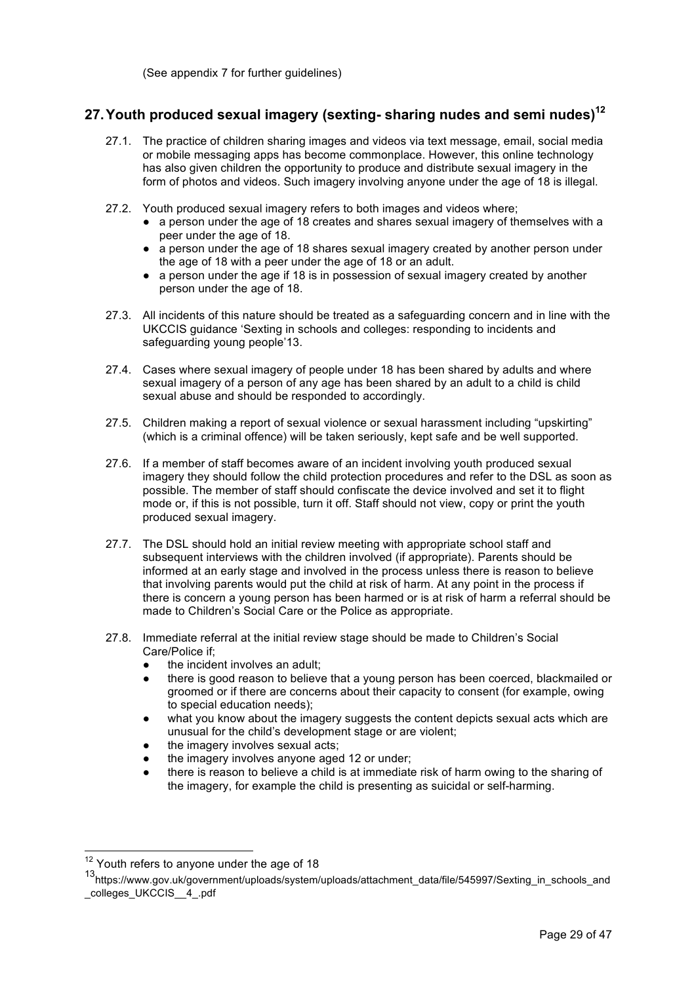(See appendix 7 for further guidelines)

# **27.Youth produced sexual imagery (sexting- sharing nudes and semi nudes)<sup>12</sup>**

- 27.1. The practice of children sharing images and videos via text message, email, social media or mobile messaging apps has become commonplace. However, this online technology has also given children the opportunity to produce and distribute sexual imagery in the form of photos and videos. Such imagery involving anyone under the age of 18 is illegal.
- 27.2. Youth produced sexual imagery refers to both images and videos where;
	- a person under the age of 18 creates and shares sexual imagery of themselves with a peer under the age of 18.
	- a person under the age of 18 shares sexual imagery created by another person under the age of 18 with a peer under the age of 18 or an adult.
	- a person under the age if 18 is in possession of sexual imagery created by another person under the age of 18.
- 27.3. All incidents of this nature should be treated as a safeguarding concern and in line with the UKCCIS guidance 'Sexting in schools and colleges: responding to incidents and safeguarding young people'13.
- 27.4. Cases where sexual imagery of people under 18 has been shared by adults and where sexual imagery of a person of any age has been shared by an adult to a child is child sexual abuse and should be responded to accordingly.
- 27.5. Children making a report of sexual violence or sexual harassment including "upskirting" (which is a criminal offence) will be taken seriously, kept safe and be well supported.
- 27.6. If a member of staff becomes aware of an incident involving youth produced sexual imagery they should follow the child protection procedures and refer to the DSL as soon as possible. The member of staff should confiscate the device involved and set it to flight mode or, if this is not possible, turn it off. Staff should not view, copy or print the youth produced sexual imagery.
- 27.7. The DSL should hold an initial review meeting with appropriate school staff and subsequent interviews with the children involved (if appropriate). Parents should be informed at an early stage and involved in the process unless there is reason to believe that involving parents would put the child at risk of harm. At any point in the process if there is concern a young person has been harmed or is at risk of harm a referral should be made to Children's Social Care or the Police as appropriate.
- 27.8. Immediate referral at the initial review stage should be made to Children's Social Care/Police if;
	- the incident involves an adult;
	- there is good reason to believe that a young person has been coerced, blackmailed or groomed or if there are concerns about their capacity to consent (for example, owing to special education needs);
	- what you know about the imagery suggests the content depicts sexual acts which are unusual for the child's development stage or are violent;
	- the imagery involves sexual acts;
	- the imagery involves anyone aged 12 or under;
	- there is reason to believe a child is at immediate risk of harm owing to the sharing of the imagery, for example the child is presenting as suicidal or self-harming.

<sup>&</sup>lt;sup>12</sup> Youth refers to anyone under the age of 18

<sup>13</sup>https://www.gov.uk/government/uploads/system/uploads/attachment\_data/file/545997/Sexting\_in\_schools\_and colleges\_UKCCIS\_\_4\_.pdf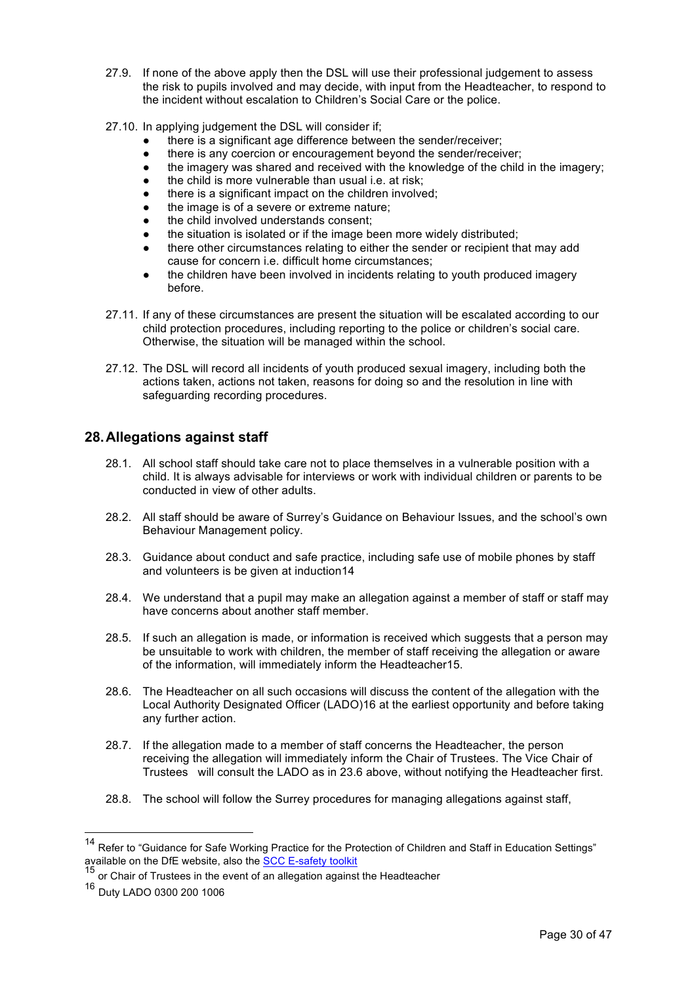- 27.9. If none of the above apply then the DSL will use their professional judgement to assess the risk to pupils involved and may decide, with input from the Headteacher, to respond to the incident without escalation to Children's Social Care or the police.
- 27.10. In applying judgement the DSL will consider if;
	- there is a significant age difference between the sender/receiver;
	- there is any coercion or encouragement beyond the sender/receiver;
	- the imagery was shared and received with the knowledge of the child in the imagery;
	- the child is more vulnerable than usual i.e. at risk;
	- there is a significant impact on the children involved;
	- the image is of a severe or extreme nature;
	- the child involved understands consent;
	- the situation is isolated or if the image been more widely distributed;
	- there other circumstances relating to either the sender or recipient that may add cause for concern i.e. difficult home circumstances;
	- the children have been involved in incidents relating to youth produced imagery before.
- 27.11. If any of these circumstances are present the situation will be escalated according to our child protection procedures, including reporting to the police or children's social care. Otherwise, the situation will be managed within the school.
- 27.12. The DSL will record all incidents of youth produced sexual imagery, including both the actions taken, actions not taken, reasons for doing so and the resolution in line with safeguarding recording procedures.

# **28.Allegations against staff**

- 28.1. All school staff should take care not to place themselves in a vulnerable position with a child. It is always advisable for interviews or work with individual children or parents to be conducted in view of other adults.
- 28.2. All staff should be aware of Surrey's Guidance on Behaviour Issues, and the school's own Behaviour Management policy.
- 28.3. Guidance about conduct and safe practice, including safe use of mobile phones by staff and volunteers is be given at induction14
- 28.4. We understand that a pupil may make an allegation against a member of staff or staff may have concerns about another staff member.
- 28.5. If such an allegation is made, or information is received which suggests that a person may be unsuitable to work with children, the member of staff receiving the allegation or aware of the information, will immediately inform the Headteacher15.
- 28.6. The Headteacher on all such occasions will discuss the content of the allegation with the Local Authority Designated Officer (LADO)16 at the earliest opportunity and before taking any further action.
- 28.7. If the allegation made to a member of staff concerns the Headteacher, the person receiving the allegation will immediately inform the Chair of Trustees. The Vice Chair of Trustees will consult the LADO as in 23.6 above, without notifying the Headteacher first.
- 28.8. The school will follow the Surrey procedures for managing allegations against staff,

<sup>&</sup>lt;sup>14</sup> Refer to "Guidance for Safe Working Practice for the Protection of Children and Staff in Education Settings" available on the DfE website, also the SCC E-safety toolkit<br><sup>15</sup> or Chair of Trustees in the event of an allegation against the Headteacher

<sup>16</sup> Duty LADO 0300 200 1006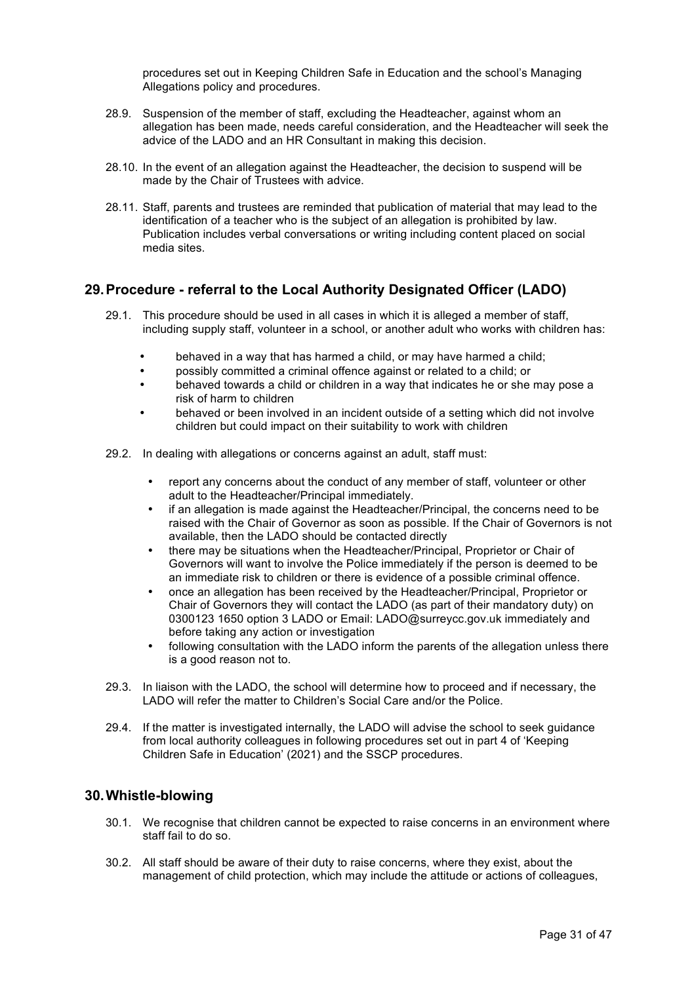procedures set out in Keeping Children Safe in Education and the school's Managing Allegations policy and procedures.

- 28.9. Suspension of the member of staff, excluding the Headteacher, against whom an allegation has been made, needs careful consideration, and the Headteacher will seek the advice of the LADO and an HR Consultant in making this decision.
- 28.10. In the event of an allegation against the Headteacher, the decision to suspend will be made by the Chair of Trustees with advice.
- 28.11. Staff, parents and trustees are reminded that publication of material that may lead to the identification of a teacher who is the subject of an allegation is prohibited by law. Publication includes verbal conversations or writing including content placed on social media sites.

## **29.Procedure - referral to the Local Authority Designated Officer (LADO)**

- 29.1. This procedure should be used in all cases in which it is alleged a member of staff, including supply staff, volunteer in a school, or another adult who works with children has:
	- behaved in a way that has harmed a child, or may have harmed a child;
	- possibly committed a criminal offence against or related to a child; or
	- behaved towards a child or children in a way that indicates he or she may pose a risk of harm to children
	- behaved or been involved in an incident outside of a setting which did not involve children but could impact on their suitability to work with children
- 29.2. In dealing with allegations or concerns against an adult, staff must:
	- report any concerns about the conduct of any member of staff, volunteer or other adult to the Headteacher/Principal immediately.
	- if an allegation is made against the Headteacher/Principal, the concerns need to be raised with the Chair of Governor as soon as possible. If the Chair of Governors is not available, then the LADO should be contacted directly
	- there may be situations when the Headteacher/Principal, Proprietor or Chair of Governors will want to involve the Police immediately if the person is deemed to be an immediate risk to children or there is evidence of a possible criminal offence.
	- once an allegation has been received by the Headteacher/Principal, Proprietor or Chair of Governors they will contact the LADO (as part of their mandatory duty) on 0300123 1650 option 3 LADO or Email: LADO@surreycc.gov.uk immediately and before taking any action or investigation
	- following consultation with the LADO inform the parents of the allegation unless there is a good reason not to.
- 29.3. In liaison with the LADO, the school will determine how to proceed and if necessary, the LADO will refer the matter to Children's Social Care and/or the Police.
- 29.4. If the matter is investigated internally, the LADO will advise the school to seek guidance from local authority colleagues in following procedures set out in part 4 of 'Keeping Children Safe in Education' (2021) and the SSCP procedures.

## **30.Whistle-blowing**

- 30.1. We recognise that children cannot be expected to raise concerns in an environment where staff fail to do so.
- 30.2. All staff should be aware of their duty to raise concerns, where they exist, about the management of child protection, which may include the attitude or actions of colleagues,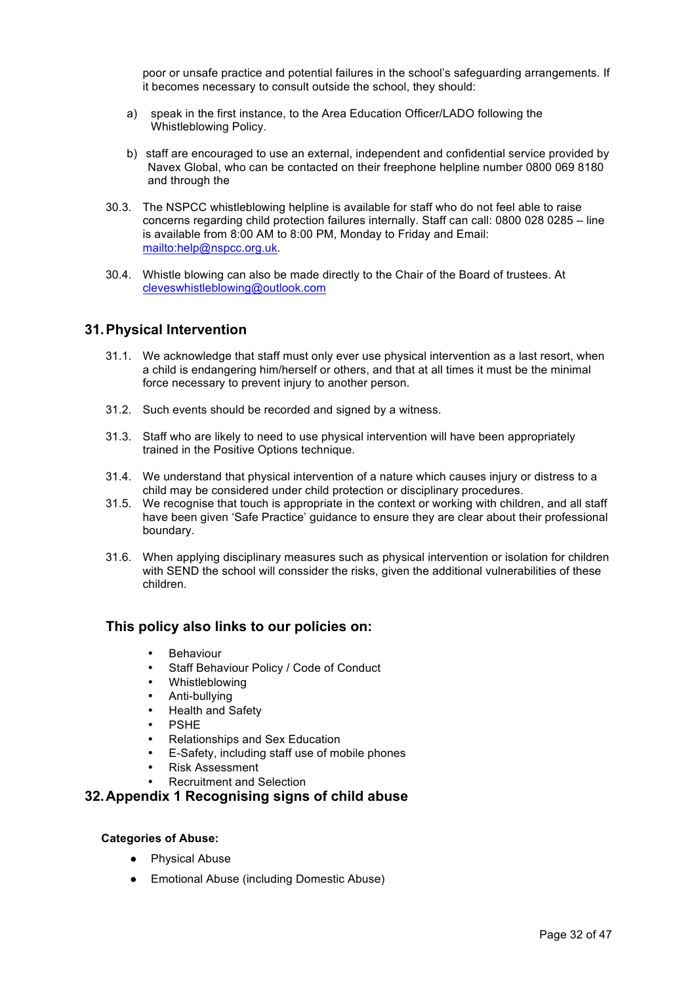poor or unsafe practice and potential failures in the school's safeguarding arrangements. If it becomes necessary to consult outside the school, they should:

- a) speak in the first instance, to the Area Education Officer/LADO following the Whistleblowing Policy.
- b) staff are encouraged to use an external, independent and confidential service provided by Navex Global, who can be contacted on their freephone helpline number 0800 069 8180 and through the
- 30.3. The NSPCC whistleblowing helpline is available for staff who do not feel able to raise concerns regarding child protection failures internally. Staff can call: 0800 028 0285 – line is available from 8:00 AM to 8:00 PM, Monday to Friday and Email: mailto:help@nspcc.org.uk.
- 30.4. Whistle blowing can also be made directly to the Chair of the Board of trustees. At cleveswhistleblowing@outlook.com

## **31.Physical Intervention**

- 31.1. We acknowledge that staff must only ever use physical intervention as a last resort, when a child is endangering him/herself or others, and that at all times it must be the minimal force necessary to prevent injury to another person.
- 31.2. Such events should be recorded and signed by a witness.
- 31.3. Staff who are likely to need to use physical intervention will have been appropriately trained in the Positive Options technique.
- 31.4. We understand that physical intervention of a nature which causes injury or distress to a child may be considered under child protection or disciplinary procedures.
- 31.5. We recognise that touch is appropriate in the context or working with children, and all staff have been given 'Safe Practice' guidance to ensure they are clear about their professional boundary.
- 31.6. When applying disciplinary measures such as physical intervention or isolation for children with SEND the school will conssider the risks, given the additional vulnerabilities of these children.

## **This policy also links to our policies on:**

- Behaviour
- Staff Behaviour Policy / Code of Conduct
- **Whistleblowing**
- Anti-bullying
- Health and Safety
- **PSHE**
- Relationships and Sex Education
- E-Safety, including staff use of mobile phones
- Risk Assessment
- Recruitment and Selection

## **32.Appendix 1 Recognising signs of child abuse**

#### **Categories of Abuse:**

- **Physical Abuse**
- Emotional Abuse (including Domestic Abuse)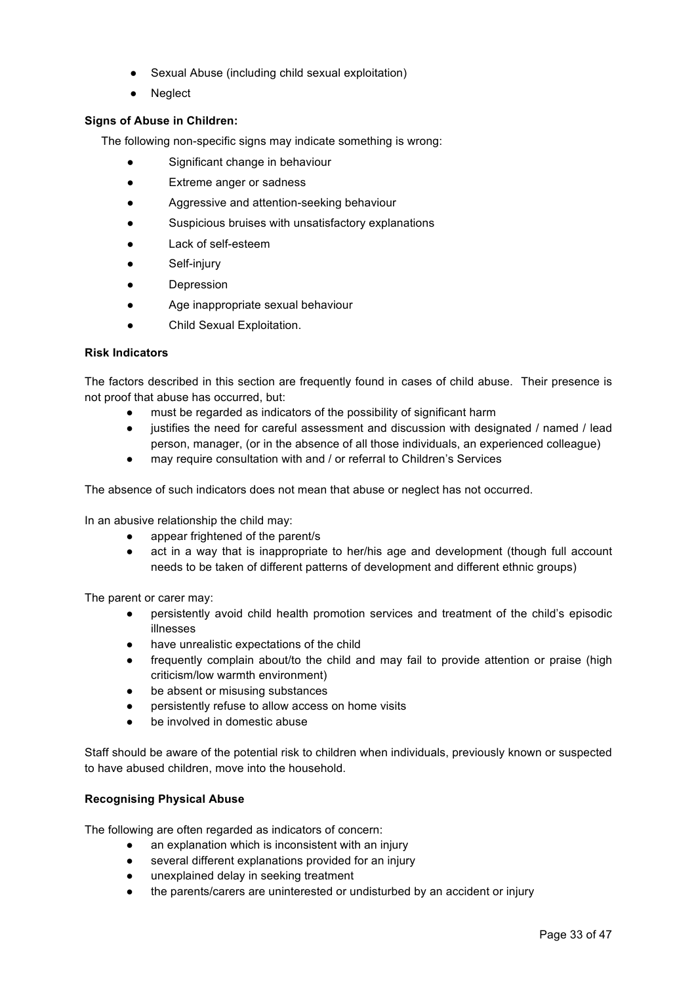- Sexual Abuse (including child sexual exploitation)
- Neglect

## **Signs of Abuse in Children:**

The following non-specific signs may indicate something is wrong:

- Significant change in behaviour
- Extreme anger or sadness
- Aggressive and attention-seeking behaviour
- Suspicious bruises with unsatisfactory explanations
- Lack of self-esteem
- Self-injury
- Depression
- Age inappropriate sexual behaviour
- Child Sexual Exploitation.

## **Risk Indicators**

The factors described in this section are frequently found in cases of child abuse. Their presence is not proof that abuse has occurred, but:

- must be regarded as indicators of the possibility of significant harm
- justifies the need for careful assessment and discussion with designated / named / lead person, manager, (or in the absence of all those individuals, an experienced colleague)
- may require consultation with and / or referral to Children's Services

The absence of such indicators does not mean that abuse or neglect has not occurred.

In an abusive relationship the child may:

- appear frightened of the parent/s
- act in a way that is inappropriate to her/his age and development (though full account needs to be taken of different patterns of development and different ethnic groups)

The parent or carer may:

- persistently avoid child health promotion services and treatment of the child's episodic illnesses
- have unrealistic expectations of the child
- frequently complain about/to the child and may fail to provide attention or praise (high criticism/low warmth environment)
- be absent or misusing substances
- persistently refuse to allow access on home visits
- be involved in domestic abuse

Staff should be aware of the potential risk to children when individuals, previously known or suspected to have abused children, move into the household.

## **Recognising Physical Abuse**

The following are often regarded as indicators of concern:

- an explanation which is inconsistent with an injury
- several different explanations provided for an injury
- unexplained delay in seeking treatment
- the parents/carers are uninterested or undisturbed by an accident or injury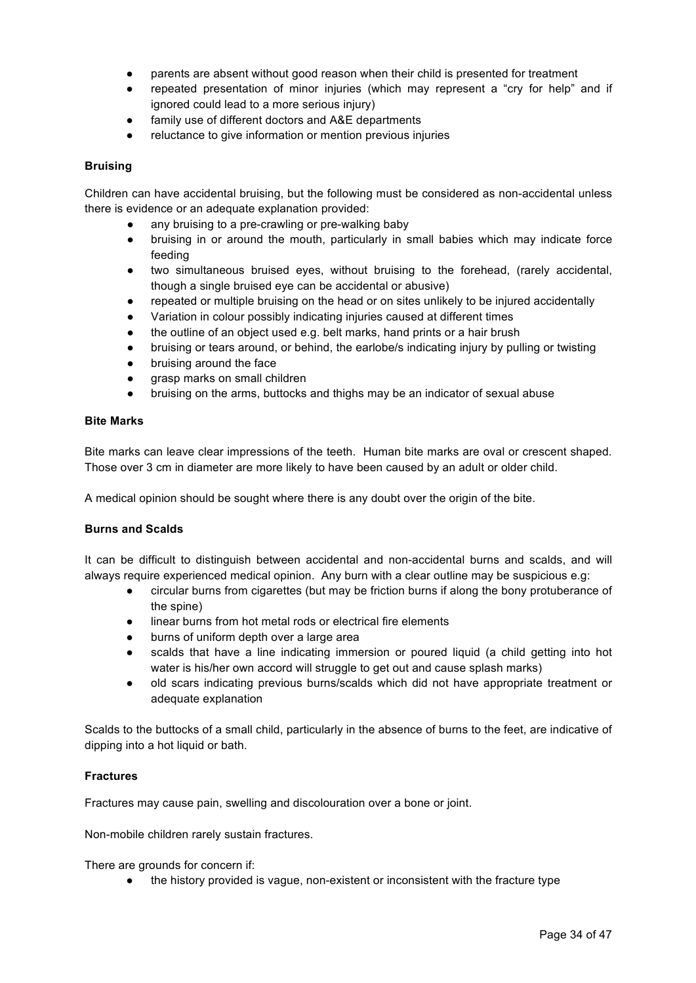- parents are absent without good reason when their child is presented for treatment
- repeated presentation of minor injuries (which may represent a "cry for help" and if ignored could lead to a more serious injury)
- family use of different doctors and A&E departments
- reluctance to give information or mention previous injuries

### **Bruising**

Children can have accidental bruising, but the following must be considered as non-accidental unless there is evidence or an adequate explanation provided:

- any bruising to a pre-crawling or pre-walking baby
- bruising in or around the mouth, particularly in small babies which may indicate force feeding
- two simultaneous bruised eyes, without bruising to the forehead, (rarely accidental, though a single bruised eye can be accidental or abusive)
- repeated or multiple bruising on the head or on sites unlikely to be injured accidentally
- Variation in colour possibly indicating injuries caused at different times
- the outline of an object used e.g. belt marks, hand prints or a hair brush
- bruising or tears around, or behind, the earlobe/s indicating injury by pulling or twisting
- bruising around the face
- grasp marks on small children
- bruising on the arms, buttocks and thighs may be an indicator of sexual abuse

#### **Bite Marks**

Bite marks can leave clear impressions of the teeth. Human bite marks are oval or crescent shaped. Those over 3 cm in diameter are more likely to have been caused by an adult or older child.

A medical opinion should be sought where there is any doubt over the origin of the bite.

#### **Burns and Scalds**

It can be difficult to distinguish between accidental and non-accidental burns and scalds, and will always require experienced medical opinion. Any burn with a clear outline may be suspicious e.g:

- circular burns from cigarettes (but may be friction burns if along the bony protuberance of the spine)
- linear burns from hot metal rods or electrical fire elements
- burns of uniform depth over a large area
- scalds that have a line indicating immersion or poured liquid (a child getting into hot water is his/her own accord will struggle to get out and cause splash marks)
- old scars indicating previous burns/scalds which did not have appropriate treatment or adequate explanation

Scalds to the buttocks of a small child, particularly in the absence of burns to the feet, are indicative of dipping into a hot liquid or bath.

#### **Fractures**

Fractures may cause pain, swelling and discolouration over a bone or joint.

Non-mobile children rarely sustain fractures.

There are grounds for concern if:

● the history provided is vague, non-existent or inconsistent with the fracture type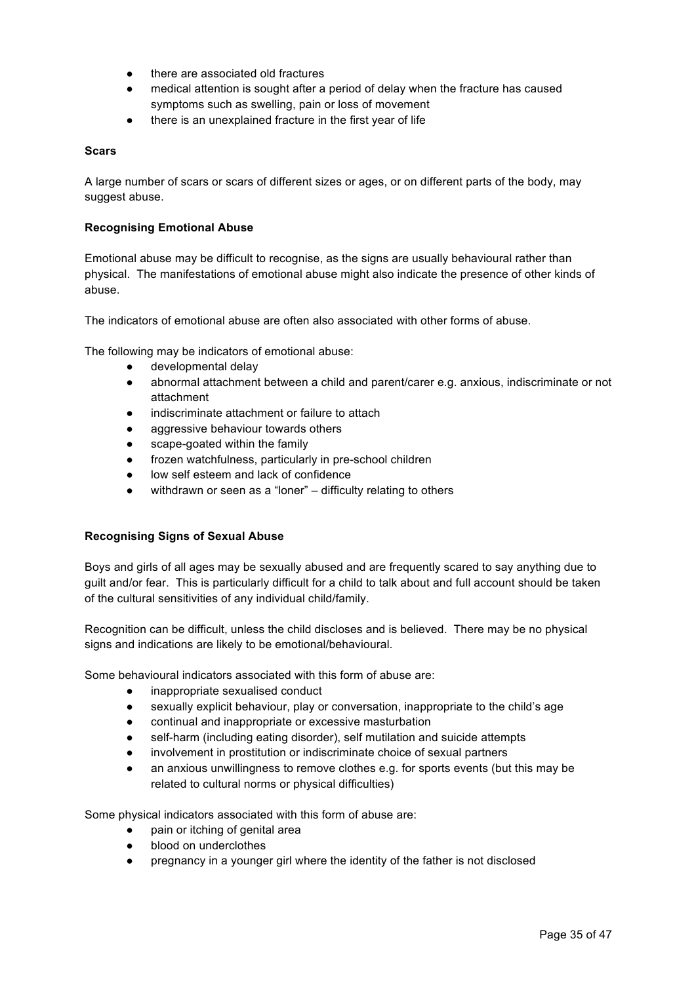- there are associated old fractures
- medical attention is sought after a period of delay when the fracture has caused symptoms such as swelling, pain or loss of movement
- there is an unexplained fracture in the first year of life

### **Scars**

A large number of scars or scars of different sizes or ages, or on different parts of the body, may suggest abuse.

### **Recognising Emotional Abuse**

Emotional abuse may be difficult to recognise, as the signs are usually behavioural rather than physical. The manifestations of emotional abuse might also indicate the presence of other kinds of abuse.

The indicators of emotional abuse are often also associated with other forms of abuse.

The following may be indicators of emotional abuse:

- developmental delay
- abnormal attachment between a child and parent/carer e.g. anxious, indiscriminate or not attachment
- indiscriminate attachment or failure to attach
- aggressive behaviour towards others
- scape-goated within the family
- frozen watchfulness, particularly in pre-school children
- low self esteem and lack of confidence
- withdrawn or seen as a "loner" difficulty relating to others

## **Recognising Signs of Sexual Abuse**

Boys and girls of all ages may be sexually abused and are frequently scared to say anything due to guilt and/or fear. This is particularly difficult for a child to talk about and full account should be taken of the cultural sensitivities of any individual child/family.

Recognition can be difficult, unless the child discloses and is believed. There may be no physical signs and indications are likely to be emotional/behavioural.

Some behavioural indicators associated with this form of abuse are:

- inappropriate sexualised conduct
- sexually explicit behaviour, play or conversation, inappropriate to the child's age
- continual and inappropriate or excessive masturbation
- self-harm (including eating disorder), self mutilation and suicide attempts
- involvement in prostitution or indiscriminate choice of sexual partners
- an anxious unwillingness to remove clothes e.g. for sports events (but this may be related to cultural norms or physical difficulties)

Some physical indicators associated with this form of abuse are:

- pain or itching of genital area
- blood on underclothes
- pregnancy in a younger girl where the identity of the father is not disclosed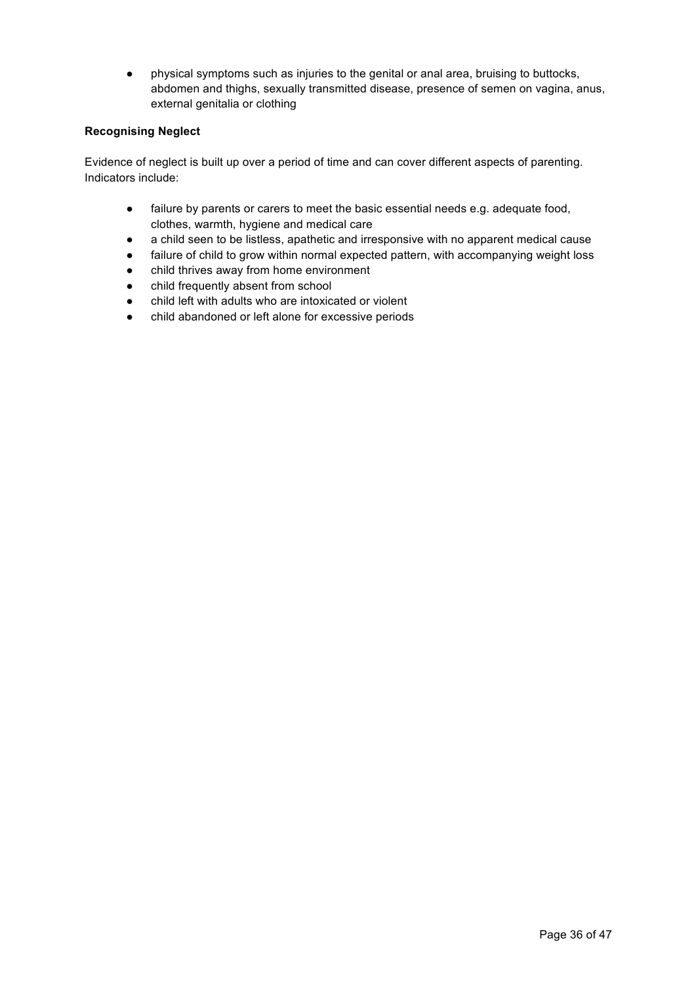● physical symptoms such as injuries to the genital or anal area, bruising to buttocks, abdomen and thighs, sexually transmitted disease, presence of semen on vagina, anus, external genitalia or clothing

## **Recognising Neglect**

Evidence of neglect is built up over a period of time and can cover different aspects of parenting. Indicators include:

- failure by parents or carers to meet the basic essential needs e.g. adequate food, clothes, warmth, hygiene and medical care
- a child seen to be listless, apathetic and irresponsive with no apparent medical cause
- failure of child to grow within normal expected pattern, with accompanying weight loss
- child thrives away from home environment
- child frequently absent from school
- child left with adults who are intoxicated or violent
- child abandoned or left alone for excessive periods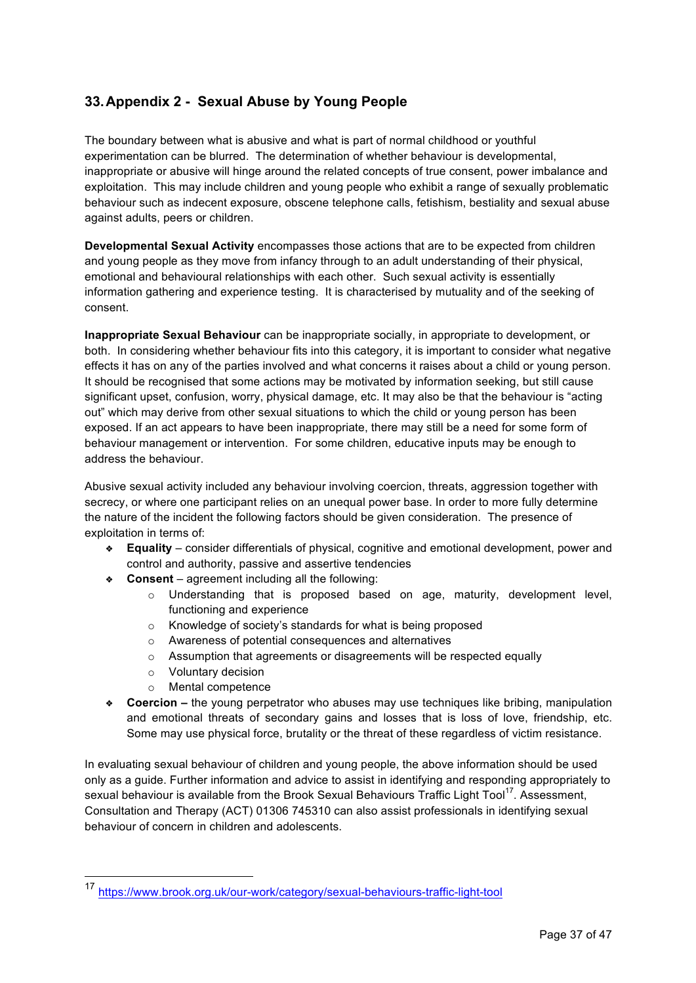# **33.Appendix 2 - Sexual Abuse by Young People**

The boundary between what is abusive and what is part of normal childhood or youthful experimentation can be blurred. The determination of whether behaviour is developmental, inappropriate or abusive will hinge around the related concepts of true consent, power imbalance and exploitation. This may include children and young people who exhibit a range of sexually problematic behaviour such as indecent exposure, obscene telephone calls, fetishism, bestiality and sexual abuse against adults, peers or children.

**Developmental Sexual Activity** encompasses those actions that are to be expected from children and young people as they move from infancy through to an adult understanding of their physical, emotional and behavioural relationships with each other. Such sexual activity is essentially information gathering and experience testing. It is characterised by mutuality and of the seeking of consent.

**Inappropriate Sexual Behaviour** can be inappropriate socially, in appropriate to development, or both. In considering whether behaviour fits into this category, it is important to consider what negative effects it has on any of the parties involved and what concerns it raises about a child or young person. It should be recognised that some actions may be motivated by information seeking, but still cause significant upset, confusion, worry, physical damage, etc. It may also be that the behaviour is "acting out" which may derive from other sexual situations to which the child or young person has been exposed. If an act appears to have been inappropriate, there may still be a need for some form of behaviour management or intervention. For some children, educative inputs may be enough to address the behaviour.

Abusive sexual activity included any behaviour involving coercion, threats, aggression together with secrecy, or where one participant relies on an unequal power base. In order to more fully determine the nature of the incident the following factors should be given consideration. The presence of exploitation in terms of:

- **❖ Equality**  consider differentials of physical, cognitive and emotional development, power and control and authority, passive and assertive tendencies
- **❖ Consent** agreement including all the following:
	- $\circ$  Understanding that is proposed based on age, maturity, development level, functioning and experience
	- o Knowledge of society's standards for what is being proposed
	- o Awareness of potential consequences and alternatives
	- o Assumption that agreements or disagreements will be respected equally
	- o Voluntary decision
	- o Mental competence
- **❖ Coercion –** the young perpetrator who abuses may use techniques like bribing, manipulation and emotional threats of secondary gains and losses that is loss of love, friendship, etc. Some may use physical force, brutality or the threat of these regardless of victim resistance.

In evaluating sexual behaviour of children and young people, the above information should be used only as a guide. Further information and advice to assist in identifying and responding appropriately to sexual behaviour is available from the Brook Sexual Behaviours Traffic Light Tool<sup>17</sup>. Assessment, Consultation and Therapy (ACT) 01306 745310 can also assist professionals in identifying sexual behaviour of concern in children and adolescents.

 <sup>17</sup> https://www.brook.org.uk/our-work/category/sexual-behaviours-traffic-light-tool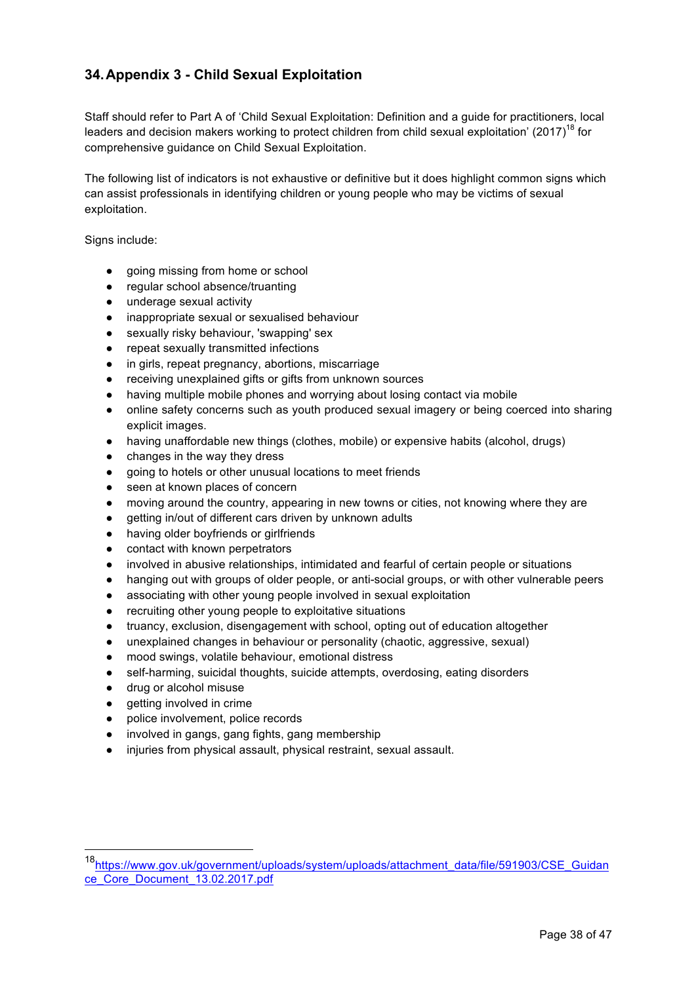# **34.Appendix 3 - Child Sexual Exploitation**

Staff should refer to Part A of 'Child Sexual Exploitation: Definition and a guide for practitioners, local leaders and decision makers working to protect children from child sexual exploitation' (2017)<sup>18</sup> for comprehensive guidance on Child Sexual Exploitation.

The following list of indicators is not exhaustive or definitive but it does highlight common signs which can assist professionals in identifying children or young people who may be victims of sexual exploitation.

Signs include:

- going missing from home or school
- regular school absence/truanting
- underage sexual activity
- inappropriate sexual or sexualised behaviour
- sexually risky behaviour, 'swapping' sex
- repeat sexually transmitted infections
- in girls, repeat pregnancy, abortions, miscarriage
- receiving unexplained gifts or gifts from unknown sources
- having multiple mobile phones and worrying about losing contact via mobile
- online safety concerns such as youth produced sexual imagery or being coerced into sharing explicit images.
- having unaffordable new things (clothes, mobile) or expensive habits (alcohol, drugs)
- changes in the way they dress
- going to hotels or other unusual locations to meet friends
- seen at known places of concern
- moving around the country, appearing in new towns or cities, not knowing where they are
- getting in/out of different cars driven by unknown adults
- having older boyfriends or girlfriends
- contact with known perpetrators
- involved in abusive relationships, intimidated and fearful of certain people or situations
- hanging out with groups of older people, or anti-social groups, or with other vulnerable peers
- associating with other young people involved in sexual exploitation
- recruiting other young people to exploitative situations
- truancy, exclusion, disengagement with school, opting out of education altogether
- unexplained changes in behaviour or personality (chaotic, aggressive, sexual)
- mood swings, volatile behaviour, emotional distress
- self-harming, suicidal thoughts, suicide attempts, overdosing, eating disorders
- drug or alcohol misuse
- getting involved in crime
- police involvement, police records
- involved in gangs, gang fights, gang membership
- injuries from physical assault, physical restraint, sexual assault.

<sup>18</sup>https://www.gov.uk/government/uploads/system/uploads/attachment\_data/file/591903/CSE\_Guidan ce\_Core\_Document\_13.02.2017.pdf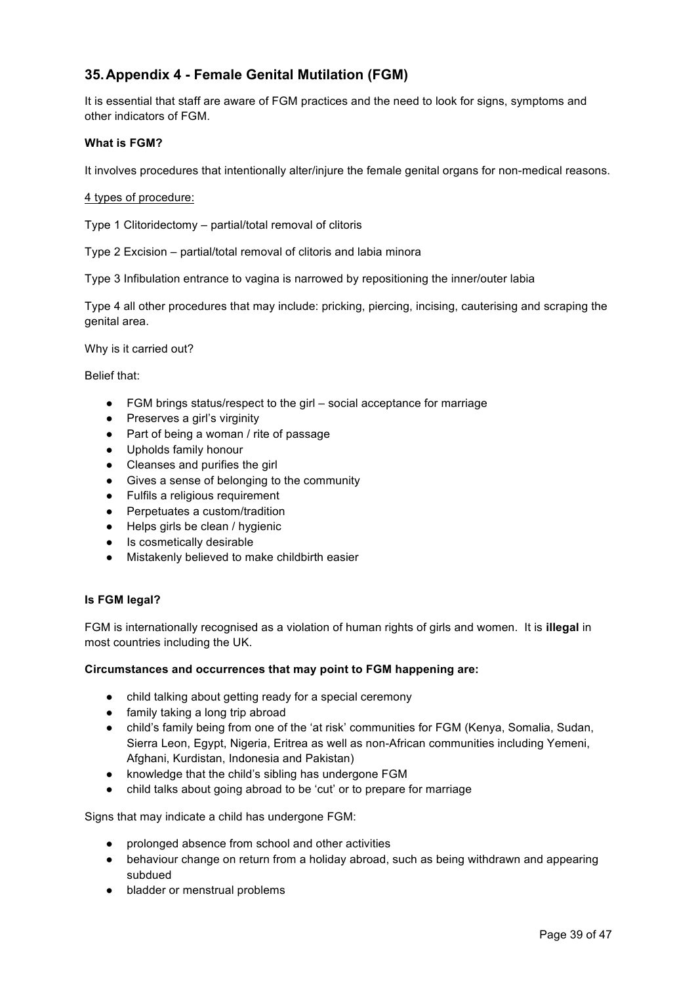# **35.Appendix 4 - Female Genital Mutilation (FGM)**

It is essential that staff are aware of FGM practices and the need to look for signs, symptoms and other indicators of FGM.

#### **What is FGM?**

It involves procedures that intentionally alter/injure the female genital organs for non-medical reasons.

4 types of procedure:

Type 1 Clitoridectomy – partial/total removal of clitoris

Type 2 Excision – partial/total removal of clitoris and labia minora

Type 3 Infibulation entrance to vagina is narrowed by repositioning the inner/outer labia

Type 4 all other procedures that may include: pricking, piercing, incising, cauterising and scraping the genital area.

Why is it carried out?

Belief that:

- FGM brings status/respect to the girl social acceptance for marriage
- Preserves a girl's virginity
- Part of being a woman / rite of passage
- Upholds family honour
- Cleanses and purifies the girl
- Gives a sense of belonging to the community
- Fulfils a religious requirement
- Perpetuates a custom/tradition
- Helps girls be clean / hygienic
- Is cosmetically desirable
- Mistakenly believed to make childbirth easier

#### **Is FGM legal?**

FGM is internationally recognised as a violation of human rights of girls and women. It is **illegal** in most countries including the UK.

#### **Circumstances and occurrences that may point to FGM happening are:**

- child talking about getting ready for a special ceremony
- family taking a long trip abroad
- child's family being from one of the 'at risk' communities for FGM (Kenya, Somalia, Sudan, Sierra Leon, Egypt, Nigeria, Eritrea as well as non-African communities including Yemeni, Afghani, Kurdistan, Indonesia and Pakistan)
- knowledge that the child's sibling has undergone FGM
- child talks about going abroad to be 'cut' or to prepare for marriage

Signs that may indicate a child has undergone FGM:

- prolonged absence from school and other activities
- behaviour change on return from a holiday abroad, such as being withdrawn and appearing subdued
- bladder or menstrual problems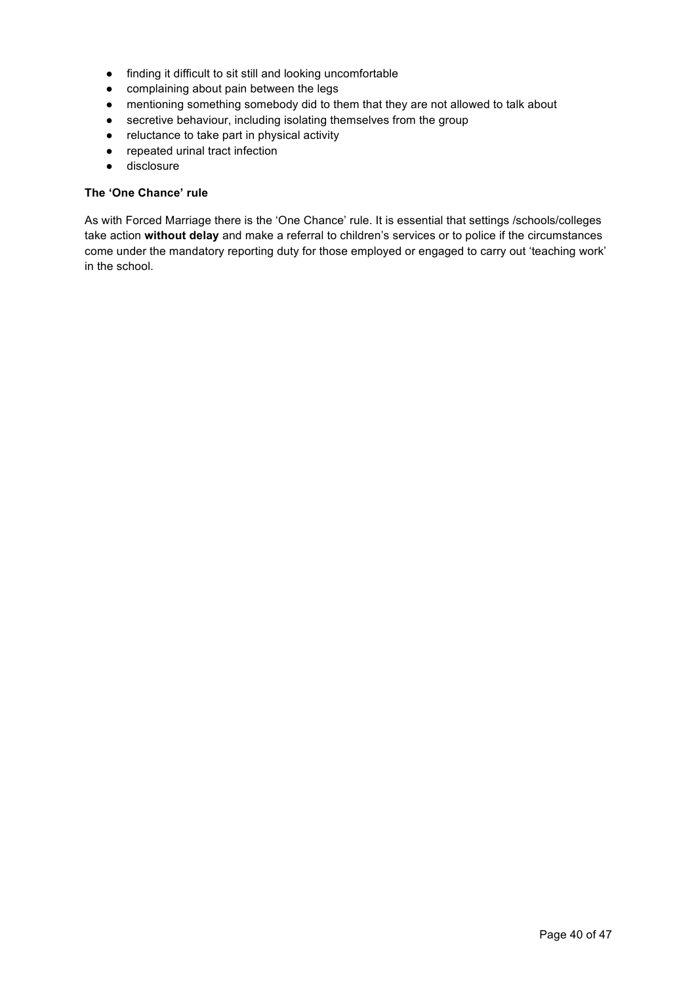- finding it difficult to sit still and looking uncomfortable
- complaining about pain between the legs
- mentioning something somebody did to them that they are not allowed to talk about
- secretive behaviour, including isolating themselves from the group
- reluctance to take part in physical activity
- repeated urinal tract infection
- disclosure

## **The 'One Chance' rule**

As with Forced Marriage there is the 'One Chance' rule. It is essential that settings /schools/colleges take action **without delay** and make a referral to children's services or to police if the circumstances come under the mandatory reporting duty for those employed or engaged to carry out 'teaching work' in the school.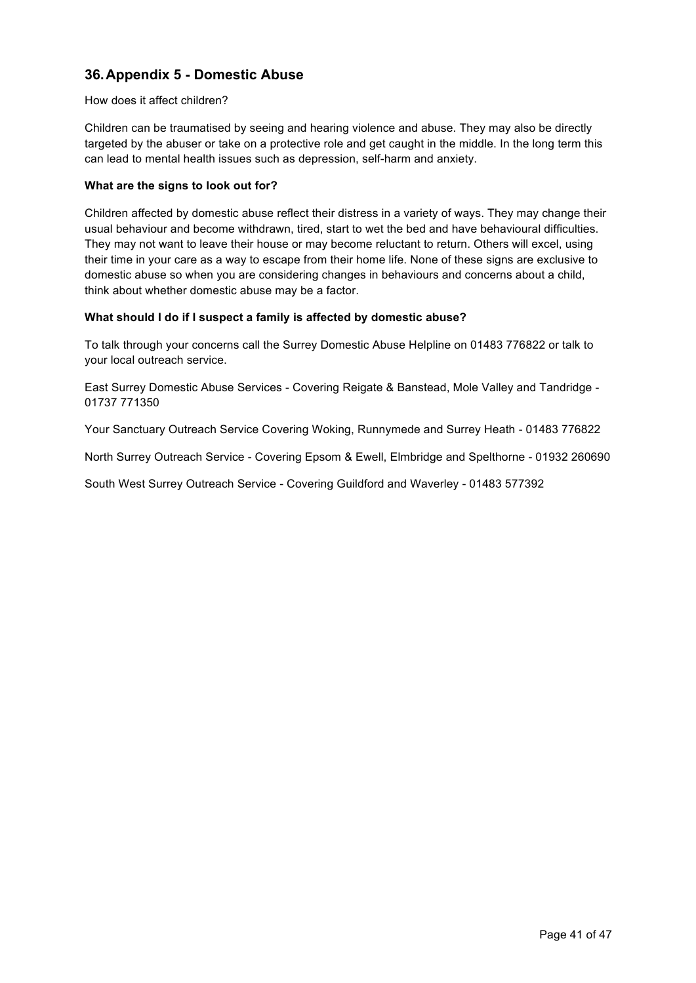# **36.Appendix 5 - Domestic Abuse**

#### How does it affect children?

Children can be traumatised by seeing and hearing violence and abuse. They may also be directly targeted by the abuser or take on a protective role and get caught in the middle. In the long term this can lead to mental health issues such as depression, self-harm and anxiety.

### **What are the signs to look out for?**

Children affected by domestic abuse reflect their distress in a variety of ways. They may change their usual behaviour and become withdrawn, tired, start to wet the bed and have behavioural difficulties. They may not want to leave their house or may become reluctant to return. Others will excel, using their time in your care as a way to escape from their home life. None of these signs are exclusive to domestic abuse so when you are considering changes in behaviours and concerns about a child, think about whether domestic abuse may be a factor.

#### **What should I do if I suspect a family is affected by domestic abuse?**

To talk through your concerns call the Surrey Domestic Abuse Helpline on 01483 776822 or talk to your local outreach service.

East Surrey Domestic Abuse Services - Covering Reigate & Banstead, Mole Valley and Tandridge - 01737 771350

Your Sanctuary Outreach Service Covering Woking, Runnymede and Surrey Heath - 01483 776822

North Surrey Outreach Service - Covering Epsom & Ewell, Elmbridge and Spelthorne - 01932 260690

South West Surrey Outreach Service - Covering Guildford and Waverley - 01483 577392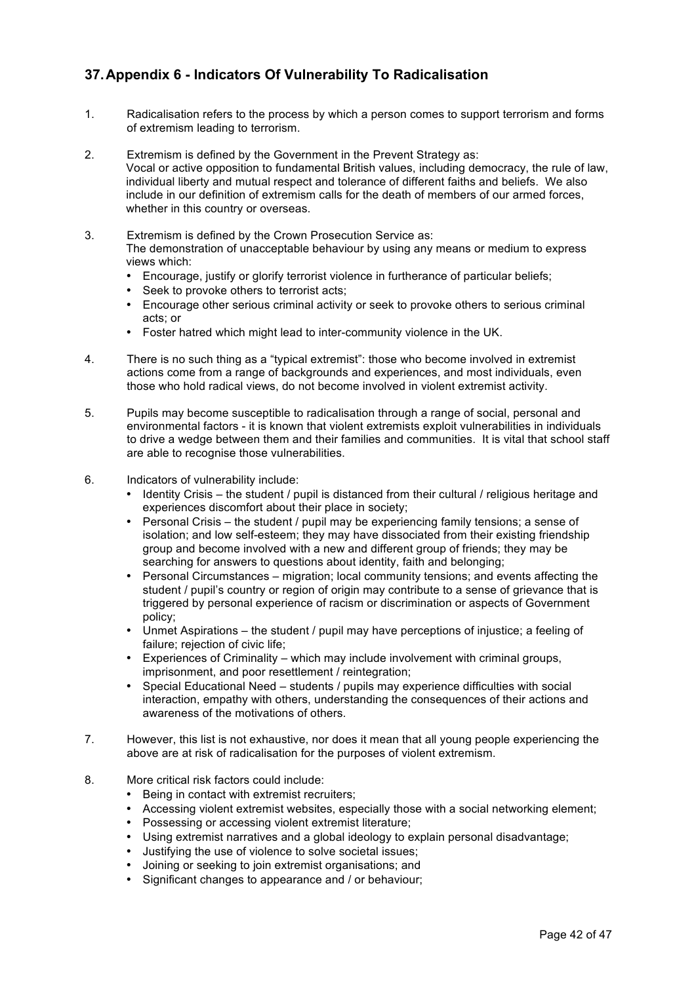# **37.Appendix 6 - Indicators Of Vulnerability To Radicalisation**

- 1. Radicalisation refers to the process by which a person comes to support terrorism and forms of extremism leading to terrorism.
- 2. Extremism is defined by the Government in the Prevent Strategy as: Vocal or active opposition to fundamental British values, including democracy, the rule of law, individual liberty and mutual respect and tolerance of different faiths and beliefs. We also include in our definition of extremism calls for the death of members of our armed forces, whether in this country or overseas.
- 3. Extremism is defined by the Crown Prosecution Service as: The demonstration of unacceptable behaviour by using any means or medium to express views which:
	- Encourage, justify or glorify terrorist violence in furtherance of particular beliefs;
	- Seek to provoke others to terrorist acts;
	- Encourage other serious criminal activity or seek to provoke others to serious criminal acts; or
	- Foster hatred which might lead to inter-community violence in the UK.
- 4. There is no such thing as a "typical extremist": those who become involved in extremist actions come from a range of backgrounds and experiences, and most individuals, even those who hold radical views, do not become involved in violent extremist activity.
- 5. Pupils may become susceptible to radicalisation through a range of social, personal and environmental factors - it is known that violent extremists exploit vulnerabilities in individuals to drive a wedge between them and their families and communities. It is vital that school staff are able to recognise those vulnerabilities.
- 6. Indicators of vulnerability include:
	- Identity Crisis the student / pupil is distanced from their cultural / religious heritage and experiences discomfort about their place in society;
	- Personal Crisis the student / pupil may be experiencing family tensions; a sense of isolation; and low self-esteem; they may have dissociated from their existing friendship group and become involved with a new and different group of friends; they may be searching for answers to questions about identity, faith and belonging;
	- Personal Circumstances migration; local community tensions; and events affecting the student / pupil's country or region of origin may contribute to a sense of grievance that is triggered by personal experience of racism or discrimination or aspects of Government policy;
	- Unmet Aspirations the student / pupil may have perceptions of injustice; a feeling of failure; rejection of civic life;
	- Experiences of Criminality which may include involvement with criminal groups, imprisonment, and poor resettlement / reintegration;
	- Special Educational Need students / pupils may experience difficulties with social interaction, empathy with others, understanding the consequences of their actions and awareness of the motivations of others.
- 7. However, this list is not exhaustive, nor does it mean that all young people experiencing the above are at risk of radicalisation for the purposes of violent extremism.
- 8. More critical risk factors could include:
	- Being in contact with extremist recruiters;
	- Accessing violent extremist websites, especially those with a social networking element;
	- Possessing or accessing violent extremist literature;
	- Using extremist narratives and a global ideology to explain personal disadvantage;
	- Justifying the use of violence to solve societal issues;
	- Joining or seeking to join extremist organisations; and
	- Significant changes to appearance and / or behaviour;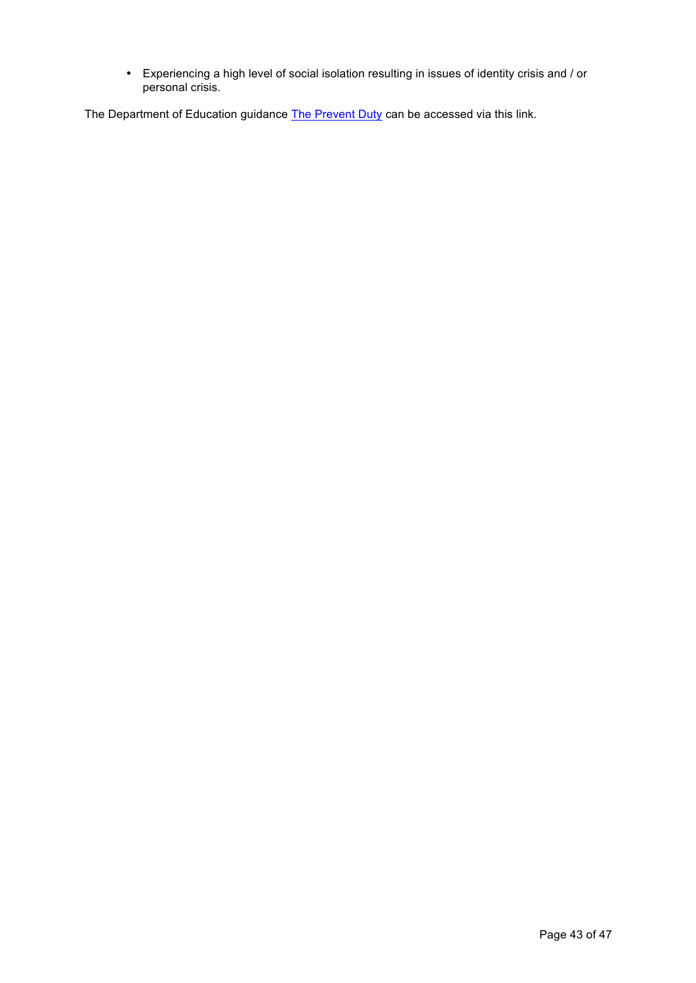• Experiencing a high level of social isolation resulting in issues of identity crisis and / or personal crisis.

The Department of Education guidance The Prevent Duty can be accessed via this link.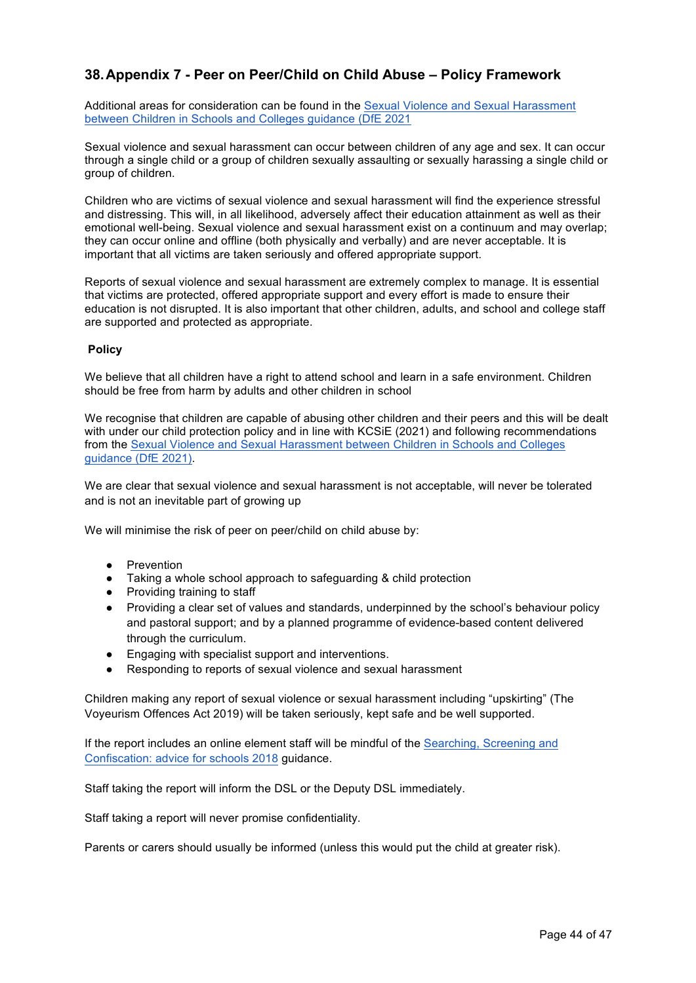# **38.Appendix 7 - Peer on Peer/Child on Child Abuse – Policy Framework**

Additional areas for consideration can be found in the Sexual Violence and Sexual Harassment between Children in Schools and Colleges guidance (DfE 2021

Sexual violence and sexual harassment can occur between children of any age and sex. It can occur through a single child or a group of children sexually assaulting or sexually harassing a single child or group of children.

Children who are victims of sexual violence and sexual harassment will find the experience stressful and distressing. This will, in all likelihood, adversely affect their education attainment as well as their emotional well-being. Sexual violence and sexual harassment exist on a continuum and may overlap; they can occur online and offline (both physically and verbally) and are never acceptable. It is important that all victims are taken seriously and offered appropriate support.

Reports of sexual violence and sexual harassment are extremely complex to manage. It is essential that victims are protected, offered appropriate support and every effort is made to ensure their education is not disrupted. It is also important that other children, adults, and school and college staff are supported and protected as appropriate.

#### **Policy**

We believe that all children have a right to attend school and learn in a safe environment. Children should be free from harm by adults and other children in school

We recognise that children are capable of abusing other children and their peers and this will be dealt with under our child protection policy and in line with KCSiE (2021) and following recommendations from the Sexual Violence and Sexual Harassment between Children in Schools and Colleges guidance (DfE 2021).

We are clear that sexual violence and sexual harassment is not acceptable, will never be tolerated and is not an inevitable part of growing up

We will minimise the risk of peer on peer/child on child abuse by:

- Prevention
- Taking a whole school approach to safeguarding & child protection
- Providing training to staff
- Providing a clear set of values and standards, underpinned by the school's behaviour policy and pastoral support; and by a planned programme of evidence-based content delivered through the curriculum.
- Engaging with specialist support and interventions.
- Responding to reports of sexual violence and sexual harassment

Children making any report of sexual violence or sexual harassment including "upskirting" (The Voyeurism Offences Act 2019) will be taken seriously, kept safe and be well supported.

If the report includes an online element staff will be mindful of the Searching, Screening and Confiscation: advice for schools 2018 guidance.

Staff taking the report will inform the DSL or the Deputy DSL immediately.

Staff taking a report will never promise confidentiality.

Parents or carers should usually be informed (unless this would put the child at greater risk).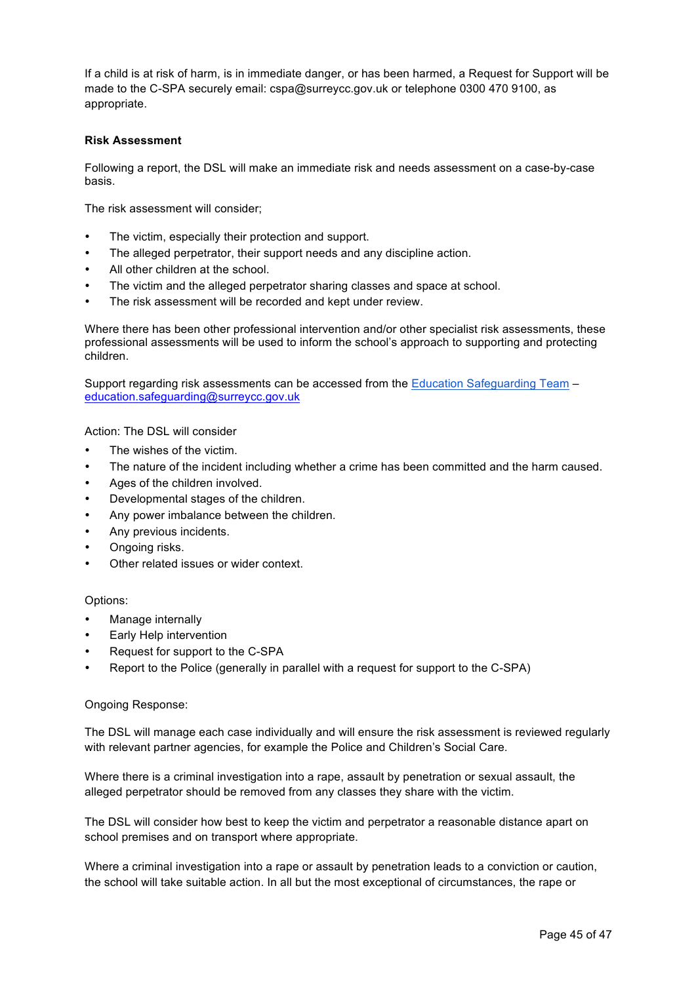If a child is at risk of harm, is in immediate danger, or has been harmed, a Request for Support will be made to the C-SPA securely email: cspa@surreycc.gov.uk or telephone 0300 470 9100, as appropriate.

#### **Risk Assessment**

Following a report, the DSL will make an immediate risk and needs assessment on a case-by-case basis.

The risk assessment will consider;

- The victim, especially their protection and support.
- The alleged perpetrator, their support needs and any discipline action.
- All other children at the school.
- The victim and the alleged perpetrator sharing classes and space at school.
- The risk assessment will be recorded and kept under review.

Where there has been other professional intervention and/or other specialist risk assessments, these professional assessments will be used to inform the school's approach to supporting and protecting children.

Support regarding risk assessments can be accessed from the Education Safeguarding Team – education.safeguarding@surreycc.gov.uk

Action: The DSL will consider

- The wishes of the victim.
- The nature of the incident including whether a crime has been committed and the harm caused.
- Ages of the children involved.
- Developmental stages of the children.
- Any power imbalance between the children.
- Any previous incidents.
- Ongoing risks.
- Other related issues or wider context.

Options:

- Manage internally
- Early Help intervention
- Request for support to the C-SPA
- Report to the Police (generally in parallel with a request for support to the C-SPA)

#### Ongoing Response:

The DSL will manage each case individually and will ensure the risk assessment is reviewed regularly with relevant partner agencies, for example the Police and Children's Social Care.

Where there is a criminal investigation into a rape, assault by penetration or sexual assault, the alleged perpetrator should be removed from any classes they share with the victim.

The DSL will consider how best to keep the victim and perpetrator a reasonable distance apart on school premises and on transport where appropriate.

Where a criminal investigation into a rape or assault by penetration leads to a conviction or caution, the school will take suitable action. In all but the most exceptional of circumstances, the rape or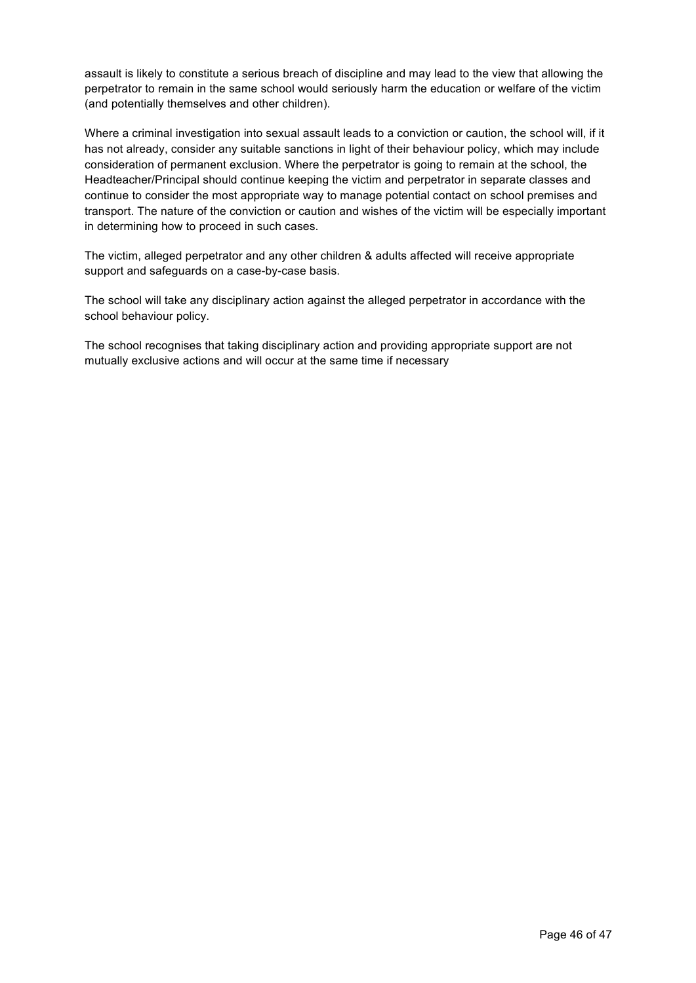assault is likely to constitute a serious breach of discipline and may lead to the view that allowing the perpetrator to remain in the same school would seriously harm the education or welfare of the victim (and potentially themselves and other children).

Where a criminal investigation into sexual assault leads to a conviction or caution, the school will, if it has not already, consider any suitable sanctions in light of their behaviour policy, which may include consideration of permanent exclusion. Where the perpetrator is going to remain at the school, the Headteacher/Principal should continue keeping the victim and perpetrator in separate classes and continue to consider the most appropriate way to manage potential contact on school premises and transport. The nature of the conviction or caution and wishes of the victim will be especially important in determining how to proceed in such cases.

The victim, alleged perpetrator and any other children & adults affected will receive appropriate support and safeguards on a case-by-case basis.

The school will take any disciplinary action against the alleged perpetrator in accordance with the school behaviour policy.

The school recognises that taking disciplinary action and providing appropriate support are not mutually exclusive actions and will occur at the same time if necessary